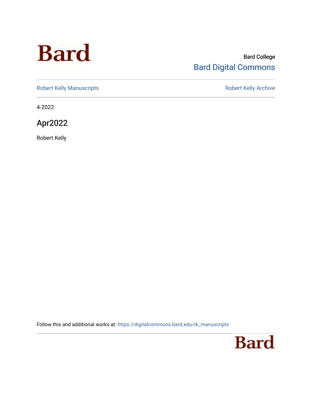# **Bard**

#### Bard College [Bard Digital Commons](https://digitalcommons.bard.edu/)

[Robert Kelly Manuscripts](https://digitalcommons.bard.edu/rk_manuscripts) **Robert Kelly Archive** 

4-2022

Apr2022

Robert Kelly

Follow this and additional works at: [https://digitalcommons.bard.edu/rk\\_manuscripts](https://digitalcommons.bard.edu/rk_manuscripts?utm_source=digitalcommons.bard.edu%2Frk_manuscripts%2F1470&utm_medium=PDF&utm_campaign=PDFCoverPages) 

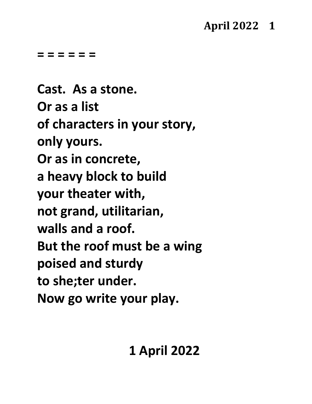### **April 2022 1**

**= = = = = =**

**Cast. As a stone. Or as a list of characters in your story, only yours. Or as in concrete, a heavy block to build your theater with, not grand, utilitarian, walls and a roof. But the roof must be a wing poised and sturdy to she;ter under. Now go write your play.**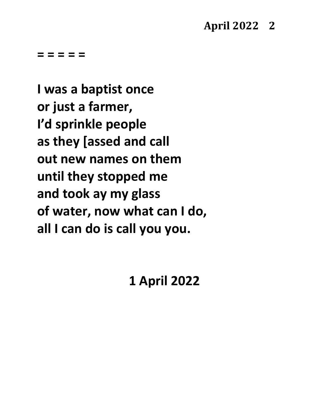**I was a baptist once or just a farmer, I'd sprinkle people as they [assed and call out new names on them until they stopped me and took ay my glass of water, now what can I do, all I can do is call you you.**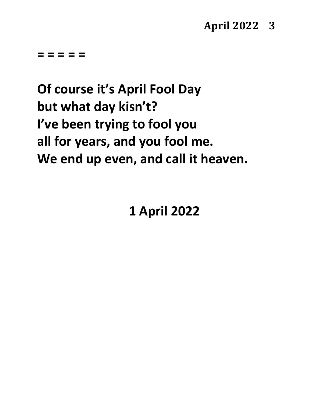**Of course it's April Fool Day but what day kisn't? I've been trying to fool you all for years, and you fool me. We end up even, and call it heaven.**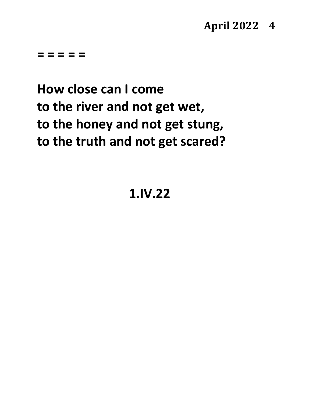### **April 2022 4**

**= = = = =**

# **How close can I come to the river and not get wet, to the honey and not get stung, to the truth and not get scared?**

**1.IV.22**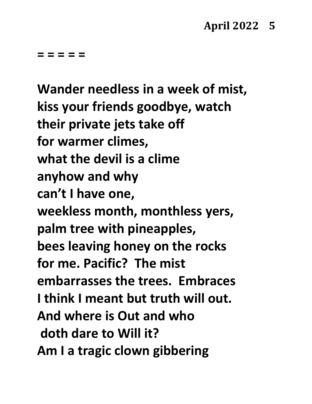**Wander needless in a week of mist, kiss your friends goodbye, watch their private jets take off for warmer climes, what the devil is a clime anyhow and why can't I have one, weekless month, monthless yers, palm tree with pineapples, bees leaving honey on the rocks for me. Pacific? The mist embarrasses the trees. Embraces I think I meant but truth will out. And where is Out and who doth dare to Will it? Am I a tragic clown gibbering**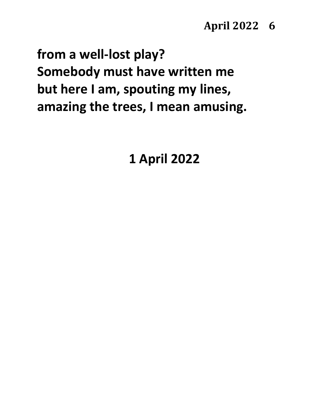### **April 2022 6**

**from a well-lost play? Somebody must have written me but here I am, spouting my lines, amazing the trees, I mean amusing.**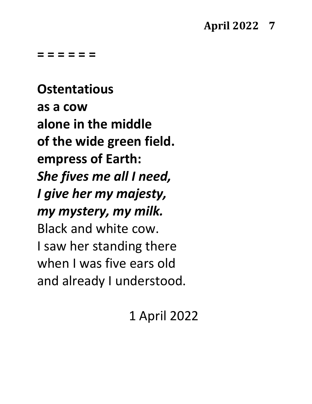**= = = = = =**

**Ostentatious as a cow alone in the middle of the wide green field. empress of Earth:** *She fives me all I need, I give her my majesty, my mystery, my milk.* Black and white cow. I saw her standing there when I was five ears old and already I understood.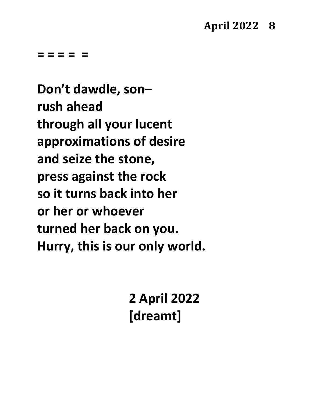**Don't dawdle, son– rush ahead through all your lucent approximations of desire and seize the stone, press against the rock so it turns back into her or her or whoever turned her back on you. Hurry, this is our only world.**

> **2 April 2022 [dreamt]**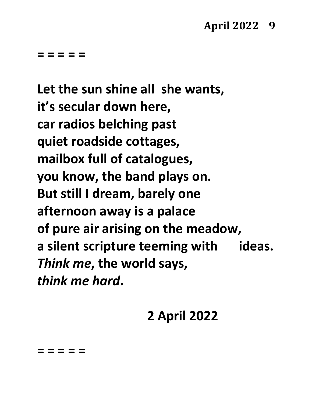**Let the sun shine all she wants, it's secular down here, car radios belching past quiet roadside cottages, mailbox full of catalogues, you know, the band plays on. But still I dream, barely one afternoon away is a palace of pure air arising on the meadow, a silent scripture teeming with ideas.** *Think me***, the world says,** *think me hard***.**

# **2 April 2022**

**= = = = =**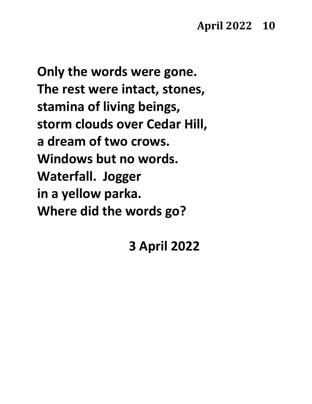### **April 2022 10**

**Only the words were gone. The rest were intact, stones, stamina of living beings, storm clouds over Cedar Hill, a dream of two crows. Windows but no words. Waterfall. Jogger in a yellow parka. Where did the words go?**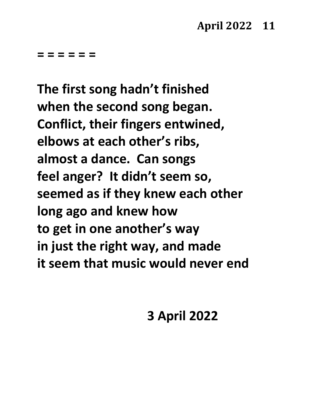**= = = = = =**

**The first song hadn't finished when the second song began. Conflict, their fingers entwined, elbows at each other's ribs, almost a dance. Can songs feel anger? It didn't seem so, seemed as if they knew each other long ago and knew how to get in one another's way in just the right way, and made it seem that music would never end**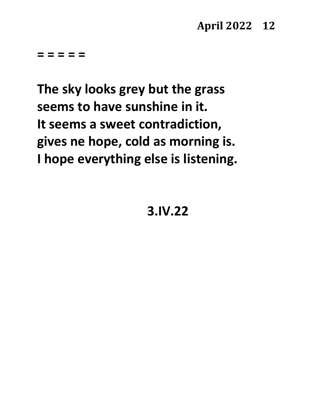**The sky looks grey but the grass seems to have sunshine in it. It seems a sweet contradiction, gives ne hope, cold as morning is. I hope everything else is listening.**

**3.IV.22**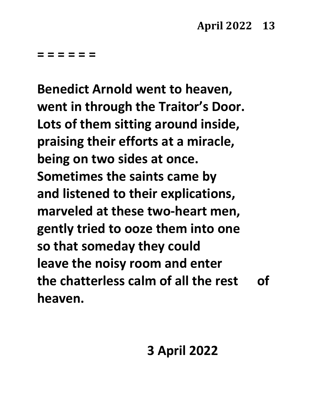**= = = = = =**

**Benedict Arnold went to heaven, went in through the Traitor's Door. Lots of them sitting around inside, praising their efforts at a miracle, being on two sides at once. Sometimes the saints came by and listened to their explications, marveled at these two-heart men, gently tried to ooze them into one so that someday they could leave the noisy room and enter the chatterless calm of all the rest of heaven.**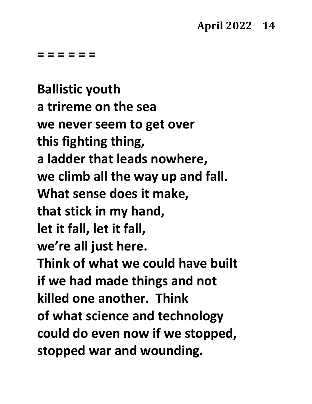**= = = = = =**

**Ballistic youth a trireme on the sea we never seem to get over this fighting thing, a ladder that leads nowhere, we climb all the way up and fall. What sense does it make, that stick in my hand, let it fall, let it fall, we're all just here. Think of what we could have built if we had made things and not killed one another. Think of what science and technology could do even now if we stopped, stopped war and wounding.**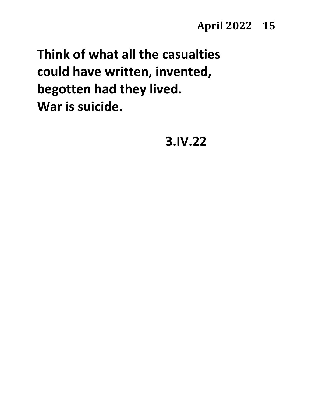**Think of what all the casualties could have written, invented, begotten had they lived. War is suicide.**

**3.IV.22**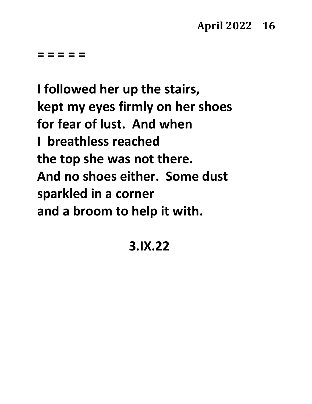**I followed her up the stairs, kept my eyes firmly on her shoes for fear of lust. And when I breathless reached the top she was not there. And no shoes either. Some dust sparkled in a corner and a broom to help it with.**

# **3.IX.22**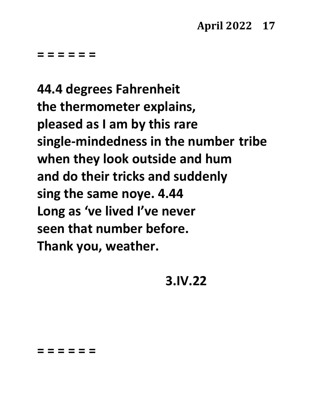**= = = = = =**

**44.4 degrees Fahrenheit the thermometer explains, pleased as I am by this rare single-mindedness in the number tribe when they look outside and hum and do their tricks and suddenly sing the same noye. 4.44 Long as 've lived I've never seen that number before. Thank you, weather.**

**3.IV.22**

**= = = = = =**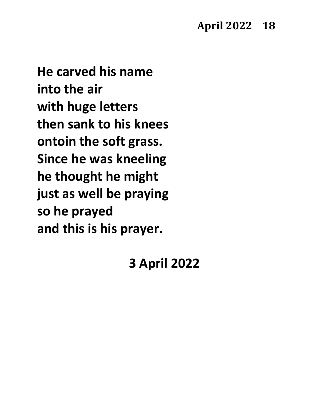**He carved his name into the air with huge letters then sank to his knees ontoin the soft grass. Since he was kneeling he thought he might just as well be praying so he prayed and this is his prayer.**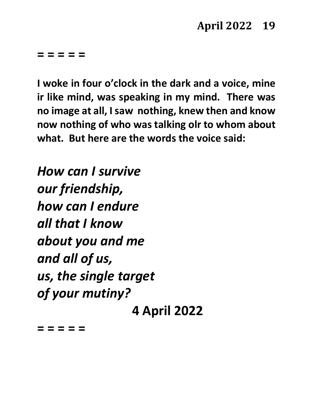**I woke in four o'clock in the dark and a voice, mine ir like mind, was speaking in my mind. There was no image at all, I saw nothing, knew then and know now nothing of who was talking olr to whom about what. But here are the words the voice said:**

*How can I survive our friendship, how can I endure all that I know about you and me and all of us, us, the single target of your mutiny?* **4 April 2022**

**= = = = =**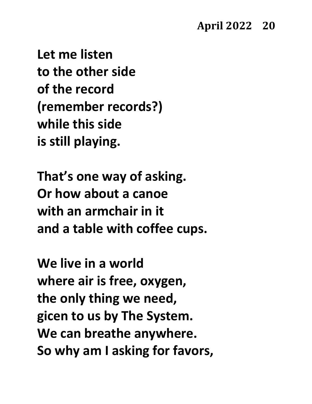**Let me listen to the other side of the record (remember records?) while this side is still playing.**

**That's one way of asking. Or how about a canoe with an armchair in it and a table with coffee cups.**

**We live in a world where air is free, oxygen, the only thing we need, gicen to us by The System. We can breathe anywhere. So why am I asking for favors,**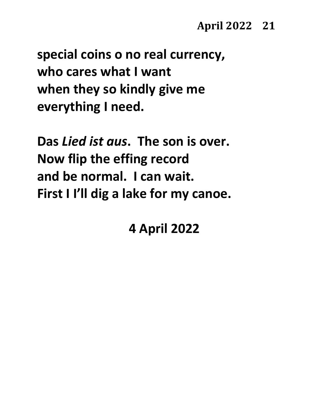**special coins o no real currency, who cares what I want when they so kindly give me everything I need.**

**Das** *Lied ist aus***. The son is over. Now flip the effing record and be normal. I can wait. First I I'll dig a lake for my canoe.**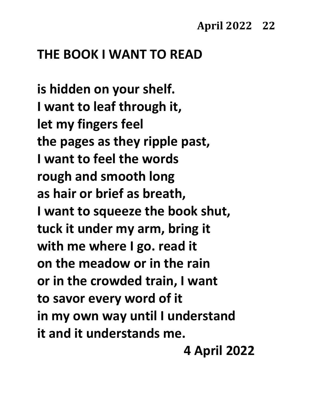### **THE BOOK I WANT TO READ**

**is hidden on your shelf. I want to leaf through it, let my fingers feel the pages as they ripple past, I want to feel the words rough and smooth long as hair or brief as breath, I want to squeeze the book shut, tuck it under my arm, bring it with me where I go. read it on the meadow or in the rain or in the crowded train, I want to savor every word of it in my own way until I understand it and it understands me.**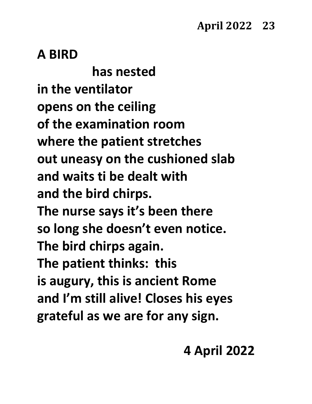### **A BIRD**

**has nested in the ventilator opens on the ceiling of the examination room where the patient stretches out uneasy on the cushioned slab and waits ti be dealt with and the bird chirps. The nurse says it's been there so long she doesn't even notice. The bird chirps again. The patient thinks: this is augury, this is ancient Rome and I'm still alive! Closes his eyes grateful as we are for any sign.**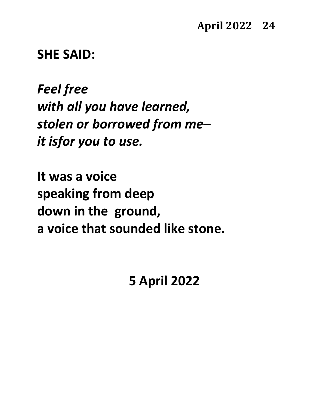**SHE SAID:**

*Feel free with all you have learned, stolen or borrowed from me– it isfor you to use.*

**It was a voice speaking from deep down in the ground, a voice that sounded like stone.**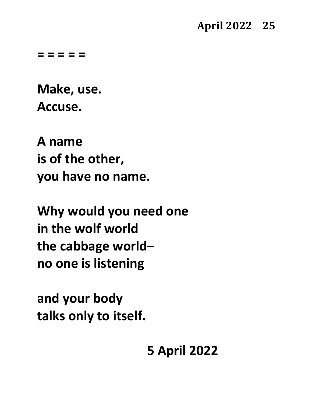**Make, use. Accuse.**

**A name is of the other, you have no name.**

**Why would you need one in the wolf world the cabbage world– no one is listening**

**and your body talks only to itself.**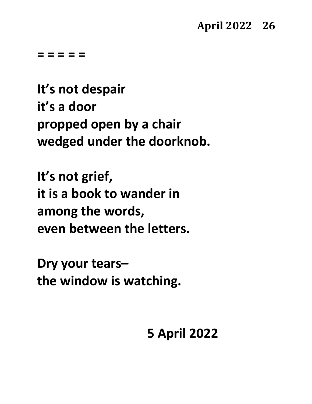**It's not despair it's a door propped open by a chair wedged under the doorknob.**

**It's not grief, it is a book to wander in among the words, even between the letters.**

**Dry your tears– the window is watching.**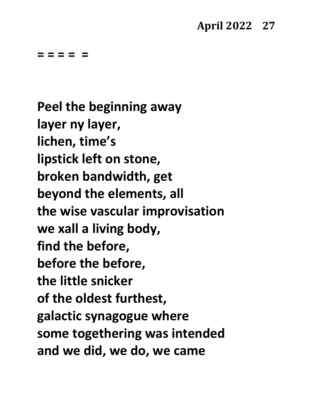**Peel the beginning away layer ny layer, lichen, time's lipstick left on stone, broken bandwidth, get beyond the elements, all the wise vascular improvisation we xall a living body, find the before, before the before, the little snicker of the oldest furthest, galactic synagogue where some togethering was intended and we did, we do, we came**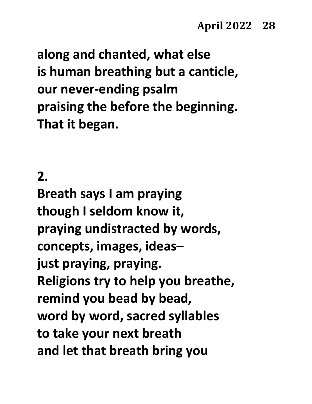**along and chanted, what else is human breathing but a canticle, our never-ending psalm praising the before the beginning. That it began.**

### **2.**

**Breath says I am praying though I seldom know it, praying undistracted by words, concepts, images, ideas– just praying, praying. Religions try to help you breathe, remind you bead by bead, word by word, sacred syllables to take your next breath and let that breath bring you**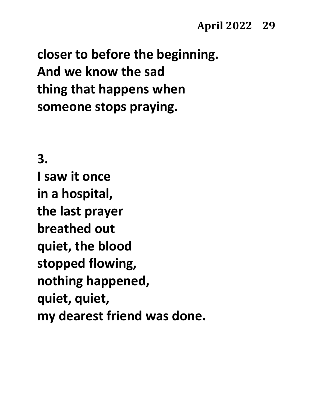**closer to before the beginning. And we know the sad thing that happens when someone stops praying.**

**3.**

**I saw it once in a hospital, the last prayer breathed out quiet, the blood stopped flowing, nothing happened, quiet, quiet, my dearest friend was done.**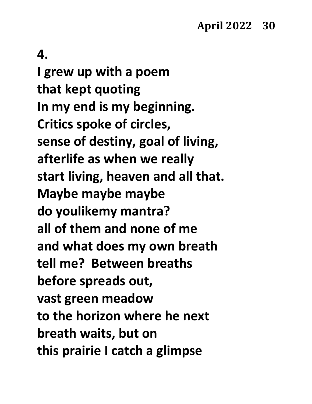### **4.**

**I grew up with a poem that kept quoting In my end is my beginning. Critics spoke of circles, sense of destiny, goal of living, afterlife as when we really start living, heaven and all that. Maybe maybe maybe do youlikemy mantra? all of them and none of me and what does my own breath tell me? Between breaths before spreads out, vast green meadow to the horizon where he next breath waits, but on this prairie I catch a glimpse**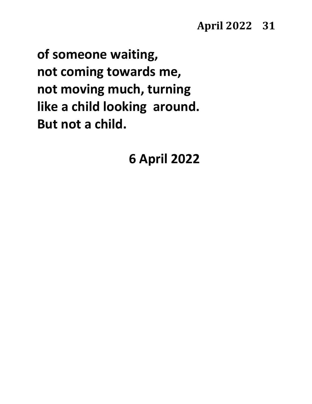**of someone waiting, not coming towards me, not moving much, turning like a child looking around. But not a child.**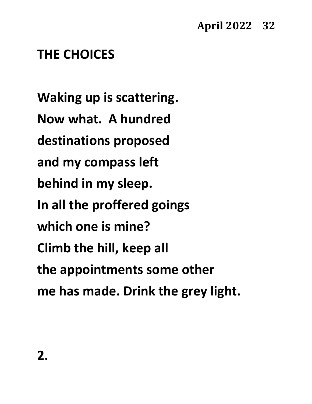# **THE CHOICES**

**Waking up is scattering. Now what. A hundred destinations proposed and my compass left behind in my sleep. In all the proffered goings which one is mine? Climb the hill, keep all the appointments some other me has made. Drink the grey light.**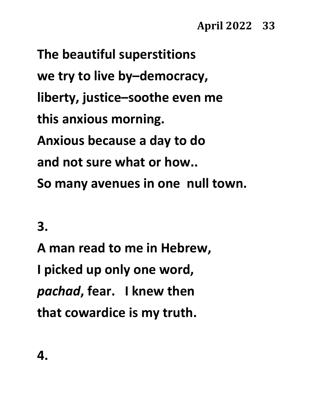**The beautiful superstitions we try to live by–democracy, liberty, justice–soothe even me this anxious morning. Anxious because a day to do and not sure what or how.. So many avenues in one null town.**

**3.**

**A man read to me in Hebrew, I picked up only one word,** *pachad***, fear. I knew then that cowardice is my truth.**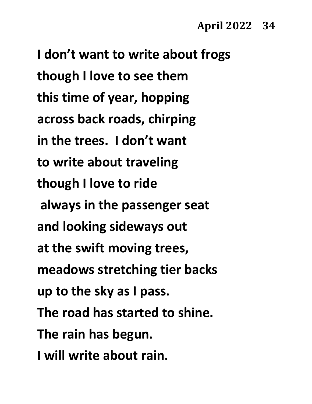**I don't want to write about frogs though I love to see them this time of year, hopping across back roads, chirping in the trees. I don't want to write about traveling though I love to ride always in the passenger seat and looking sideways out at the swift moving trees, meadows stretching tier backs up to the sky as I pass. The road has started to shine. The rain has begun. I will write about rain.**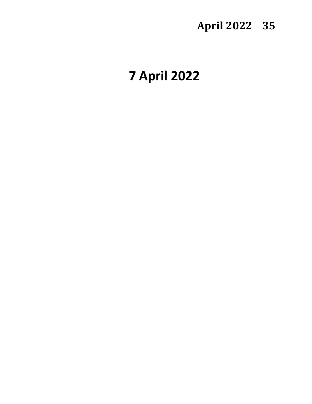# **April 2022 35**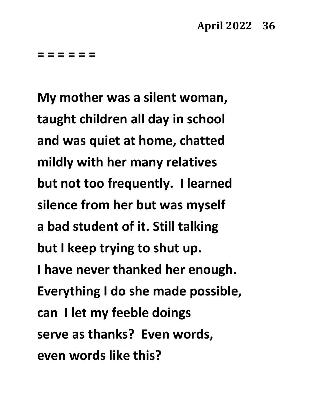**My mother was a silent woman, taught children all day in school and was quiet at home, chatted mildly with her many relatives but not too frequently. I learned silence from her but was myself a bad student of it. Still talking but I keep trying to shut up. I have never thanked her enough. Everything I do she made possible, can I let my feeble doings serve as thanks? Even words, even words like this?**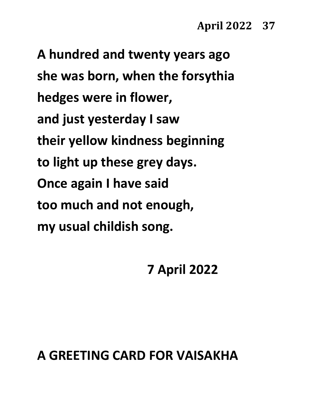**A hundred and twenty years ago she was born, when the forsythia hedges were in flower, and just yesterday I saw their yellow kindness beginning to light up these grey days. Once again I have said too much and not enough, my usual childish song.**

## **7 April 2022**

### **A GREETING CARD FOR VAISAKHA**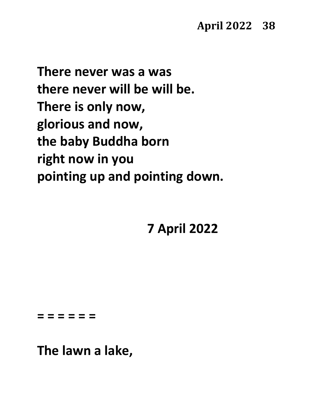**There never was a was there never will be will be. There is only now, glorious and now, the baby Buddha born right now in you pointing up and pointing down.**

**7 April 2022**

**= = = = = =**

**The lawn a lake,**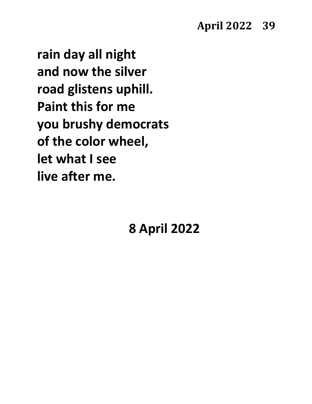**rain day all night and now the silver road glistens uphill. Paint this for me you brushy democrats of the color wheel, let what I see live after me.**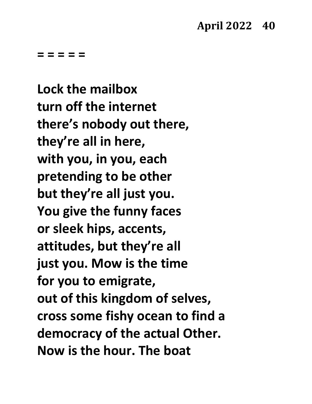**Lock the mailbox turn off the internet there's nobody out there, they're all in here, with you, in you, each pretending to be other but they're all just you. You give the funny faces or sleek hips, accents, attitudes, but they're all just you. Mow is the time for you to emigrate, out of this kingdom of selves, cross some fishy ocean to find a democracy of the actual Other. Now is the hour. The boat**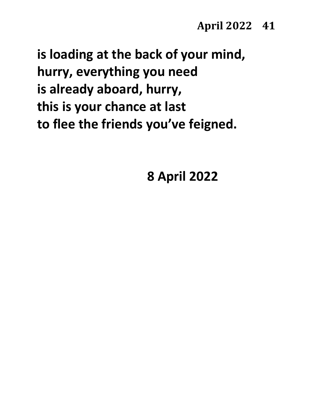**is loading at the back of your mind, hurry, everything you need is already aboard, hurry, this is your chance at last to flee the friends you've feigned.**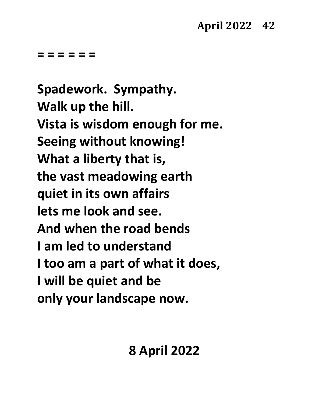**Spadework. Sympathy. Walk up the hill. Vista is wisdom enough for me. Seeing without knowing! What a liberty that is, the vast meadowing earth quiet in its own affairs lets me look and see. And when the road bends I am led to understand I too am a part of what it does, I will be quiet and be only your landscape now.**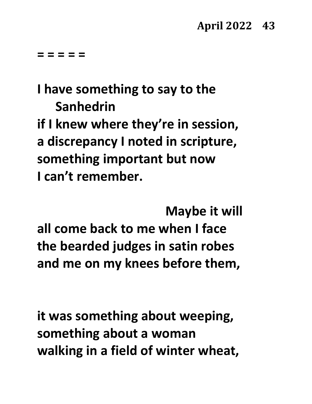# **I have something to say to the Sanhedrin**

**if I knew where they're in session, a discrepancy I noted in scripture, something important but now I can't remember.** 

**Maybe it will all come back to me when I face the bearded judges in satin robes and me on my knees before them,**

**it was something about weeping, something about a woman walking in a field of winter wheat,**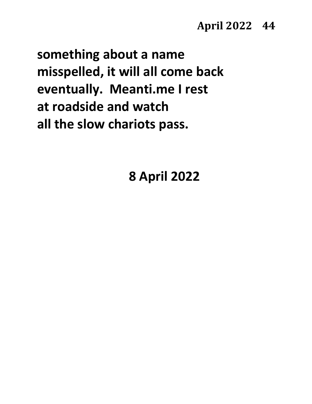#### **April 2022 44**

**something about a name misspelled, it will all come back eventually. Meanti.me I rest at roadside and watch all the slow chariots pass.**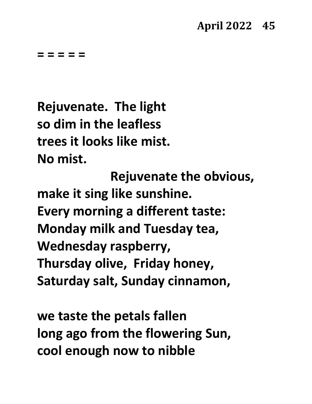**Rejuvenate. The light so dim in the leafless trees it looks like mist. No mist.** 

**Rejuvenate the obvious, make it sing like sunshine. Every morning a different taste: Monday milk and Tuesday tea, Wednesday raspberry, Thursday olive, Friday honey, Saturday salt, Sunday cinnamon,**

**we taste the petals fallen long ago from the flowering Sun, cool enough now to nibble**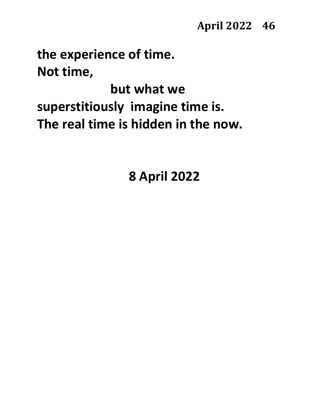#### **April 2022 46**

**the experience of time. Not time,** 

**but what we superstitiously imagine time is. The real time is hidden in the now.**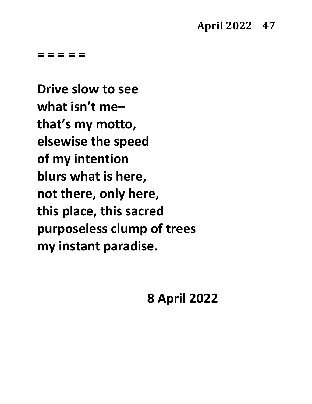**Drive slow to see what isn't me– that's my motto, elsewise the speed of my intention blurs what is here, not there, only here, this place, this sacred purposeless clump of trees my instant paradise.**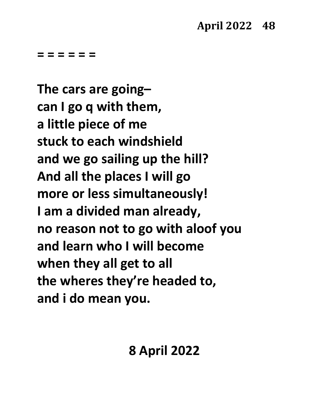**The cars are going– can I go q with them, a little piece of me stuck to each windshield and we go sailing up the hill? And all the places I will go more or less simultaneously! I am a divided man already, no reason not to go with aloof you and learn who I will become when they all get to all the wheres they're headed to, and i do mean you.**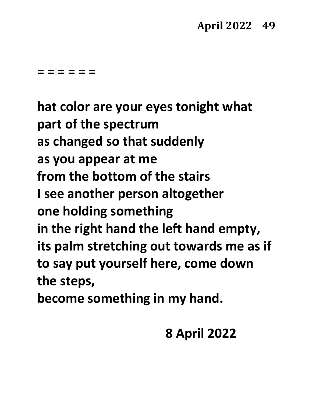**hat color are your eyes tonight what part of the spectrum as changed so that suddenly as you appear at me from the bottom of the stairs I see another person altogether one holding something in the right hand the left hand empty, its palm stretching out towards me as if to say put yourself here, come down the steps,**

**become something in my hand.**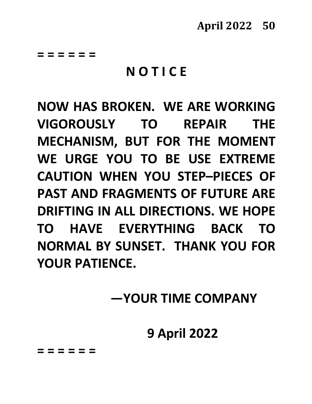### **N O T I C E**

**NOW HAS BROKEN. WE ARE WORKING VIGOROUSLY TO REPAIR THE MECHANISM, BUT FOR THE MOMENT WE URGE YOU TO BE USE EXTREME CAUTION WHEN YOU STEP–PIECES OF PAST AND FRAGMENTS OF FUTURE ARE DRIFTING IN ALL DIRECTIONS. WE HOPE TO HAVE EVERYTHING BACK TO NORMAL BY SUNSET. THANK YOU FOR YOUR PATIENCE.**

**—YOUR TIME COMPANY**

### **9 April 2022**

**= = = = = =**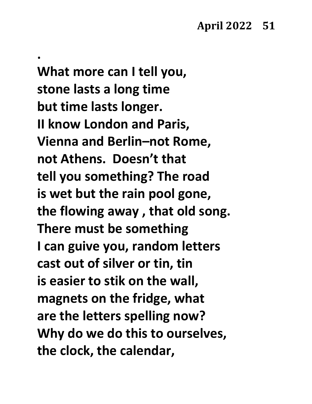**What more can I tell you, stone lasts a long time but time lasts longer. II know London and Paris, Vienna and Berlin–not Rome, not Athens. Doesn't that tell you something? The road is wet but the rain pool gone, the flowing away , that old song. There must be something I can guive you, random letters cast out of silver or tin, tin is easier to stik on the wall, magnets on the fridge, what are the letters spelling now? Why do we do this to ourselves, the clock, the calendar,**

**.**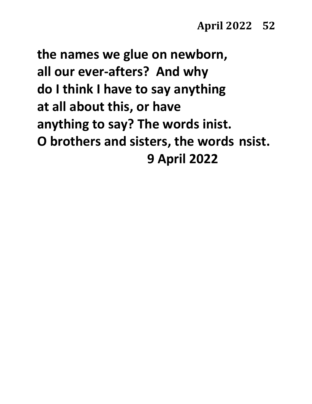**the names we glue on newborn, all our ever-afters? And why do I think I have to say anything at all about this, or have anything to say? The words inist. O brothers and sisters, the words nsist. 9 April 2022**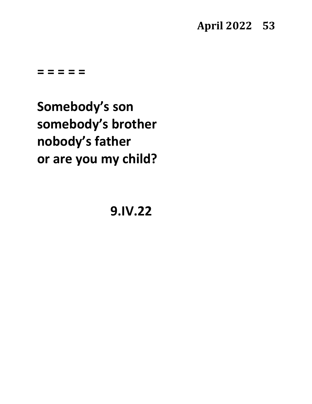#### **April 2022 53**

**= = = = =**

**Somebody's son somebody's brother nobody's father or are you my child?**

**9.IV.22**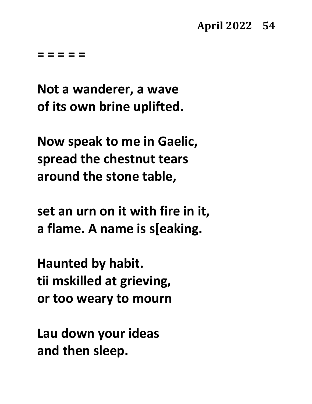**Not a wanderer, a wave of its own brine uplifted.**

**Now speak to me in Gaelic, spread the chestnut tears around the stone table,**

**set an urn on it with fire in it, a flame. A name is s[eaking.**

**Haunted by habit. tii mskilled at grieving, or too weary to mourn**

**Lau down your ideas and then sleep.**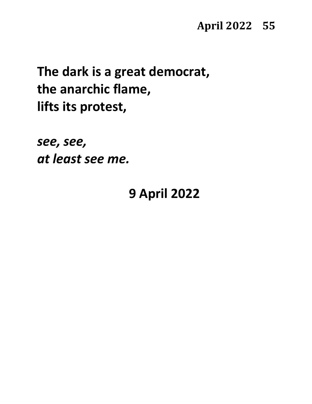# **The dark is a great democrat, the anarchic flame, lifts its protest,**

*see, see, at least see me.*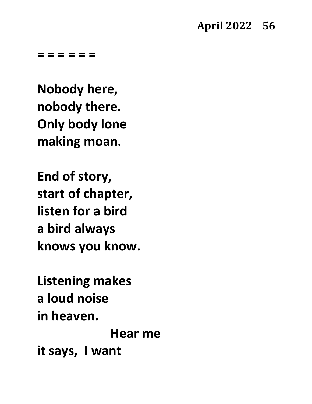#### **April 2022 56**

**= = = = = =**

**Nobody here, nobody there. Only body lone making moan.**

**End of story, start of chapter, listen for a bird a bird always knows you know.**

**Listening makes a loud noise in heaven.** 

**Hear me it says, I want**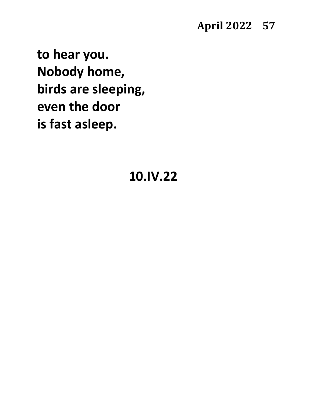#### **April 2022 57**

**to hear you. Nobody home, birds are sleeping, even the door is fast asleep.**

#### **10.IV.22**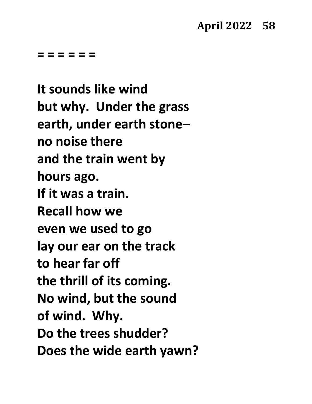**It sounds like wind but why. Under the grass earth, under earth stone– no noise there and the train went by hours ago. If it was a train. Recall how we even we used to go lay our ear on the track to hear far off the thrill of its coming. No wind, but the sound of wind. Why. Do the trees shudder? Does the wide earth yawn?**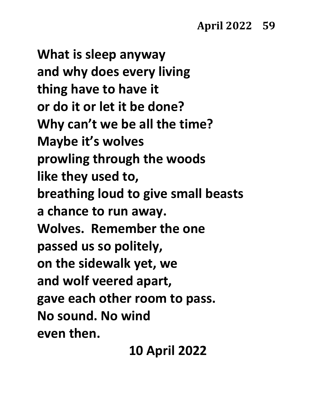### **April 2022 59**

**What is sleep anyway and why does every living thing have to have it or do it or let it be done? Why can't we be all the time? Maybe it's wolves prowling through the woods like they used to, breathing loud to give small beasts a chance to run away. Wolves. Remember the one passed us so politely, on the sidewalk yet, we and wolf veered apart, gave each other room to pass. No sound. No wind even then.**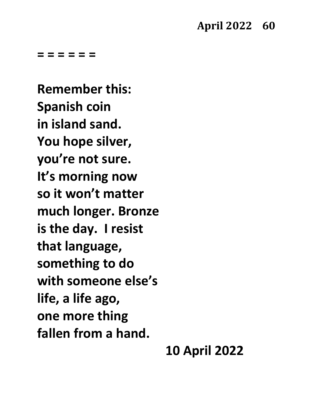**Remember this: Spanish coin in island sand. You hope silver, you're not sure. It's morning now so it won't matter much longer. Bronze is the day. I resist that language, something to do with someone else's life, a life ago, one more thing fallen from a hand.**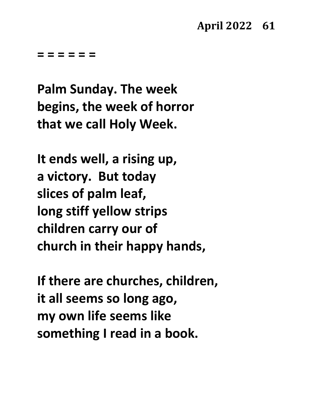**Palm Sunday. The week begins, the week of horror that we call Holy Week.**

**It ends well, a rising up, a victory. But today slices of palm leaf, long stiff yellow strips children carry our of church in their happy hands,**

**If there are churches, children, it all seems so long ago, my own life seems like something I read in a book.**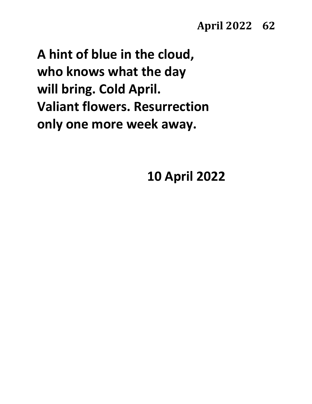**A hint of blue in the cloud, who knows what the day will bring. Cold April. Valiant flowers. Resurrection only one more week away.**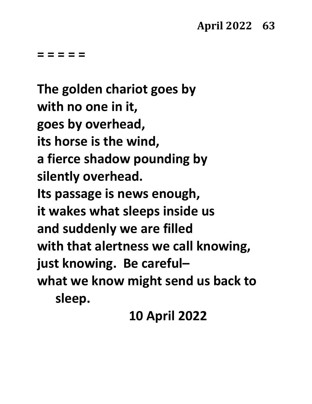**The golden chariot goes by with no one in it, goes by overhead, its horse is the wind, a fierce shadow pounding by silently overhead. Its passage is news enough, it wakes what sleeps inside us and suddenly we are filled with that alertness we call knowing, just knowing. Be careful– what we know might send us back to sleep.**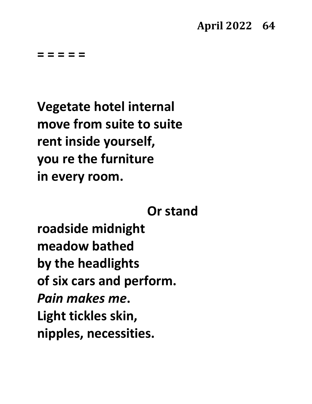**Vegetate hotel internal move from suite to suite rent inside yourself, you re the furniture in every room.** 

#### **Or stand**

**roadside midnight meadow bathed by the headlights of six cars and perform.** *Pain makes me***. Light tickles skin, nipples, necessities.**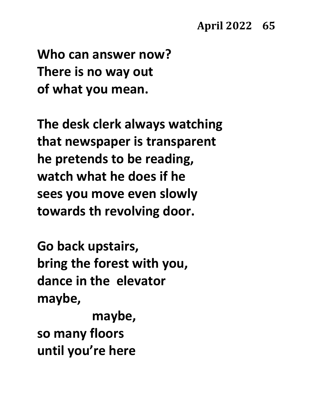#### **April 2022 65**

**Who can answer now? There is no way out of what you mean.**

**The desk clerk always watching that newspaper is transparent he pretends to be reading, watch what he does if he sees you move even slowly towards th revolving door.**

**Go back upstairs, bring the forest with you, dance in the elevator maybe,** 

**maybe, so many floors until you're here**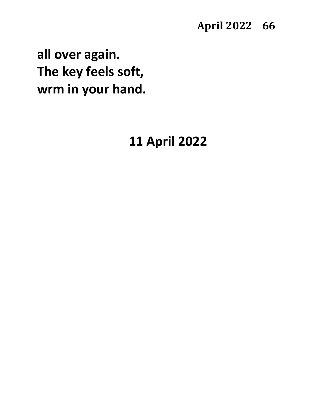**all over again. The key feels soft, wrm in your hand.**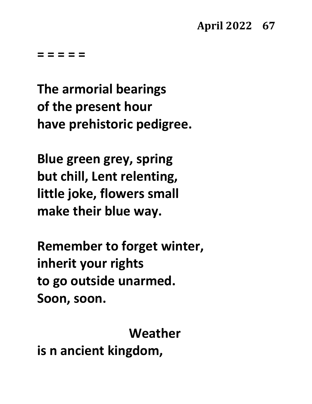**The armorial bearings of the present hour have prehistoric pedigree.**

**Blue green grey, spring but chill, Lent relenting, little joke, flowers small make their blue way.**

**Remember to forget winter, inherit your rights to go outside unarmed. Soon, soon.** 

**Weather**

**is n ancient kingdom,**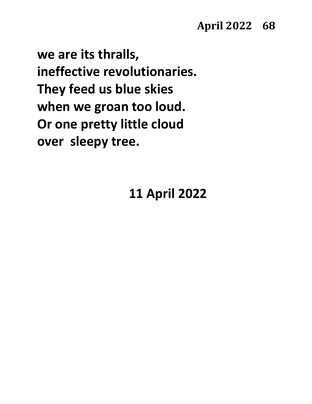**we are its thralls, ineffective revolutionaries. They feed us blue skies when we groan too loud. Or one pretty little cloud over sleepy tree.**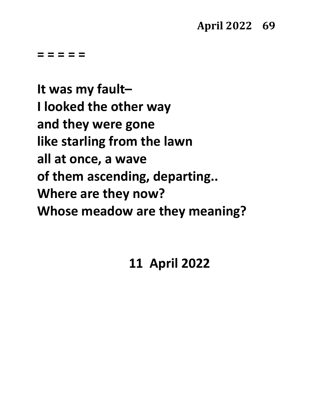**It was my fault– I looked the other way and they were gone like starling from the lawn all at once, a wave of them ascending, departing.. Where are they now? Whose meadow are they meaning?**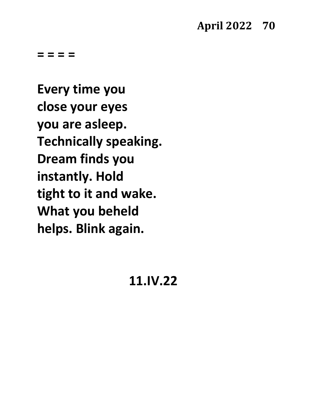**= = = =** 

**Every time you close your eyes you are asleep. Technically speaking. Dream finds you instantly. Hold tight to it and wake. What you beheld helps. Blink again.**

#### **11.IV.22**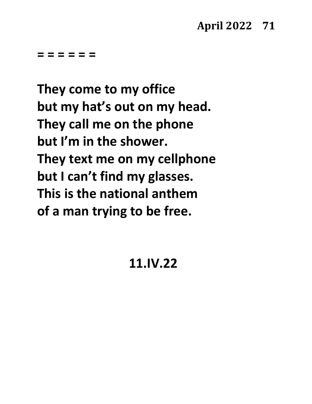**They come to my office but my hat's out on my head. They call me on the phone but I'm in the shower. They text me on my cellphone but I can't find my glasses. This is the national anthem of a man trying to be free.**

### **11.IV.22**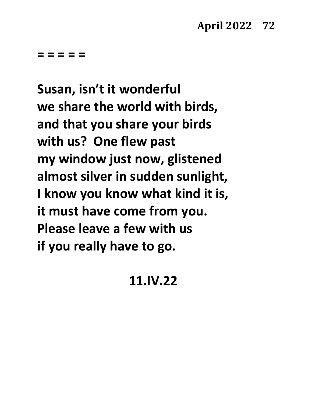**Susan, isn't it wonderful we share the world with birds, and that you share your birds with us? One flew past my window just now, glistened almost silver in sudden sunlight, I know you know what kind it is, it must have come from you. Please leave a few with us if you really have to go.**

# **11.IV.22**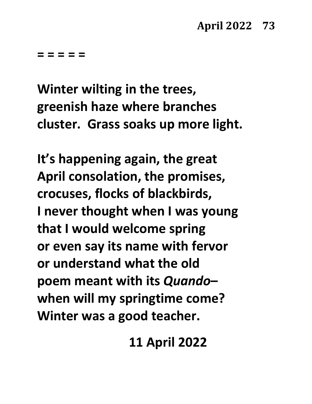**Winter wilting in the trees, greenish haze where branches cluster. Grass soaks up more light.**

**It's happening again, the great April consolation, the promises, crocuses, flocks of blackbirds, I never thought when I was young that I would welcome spring or even say its name with fervor or understand what the old poem meant with its** *Quando***– when will my springtime come? Winter was a good teacher.**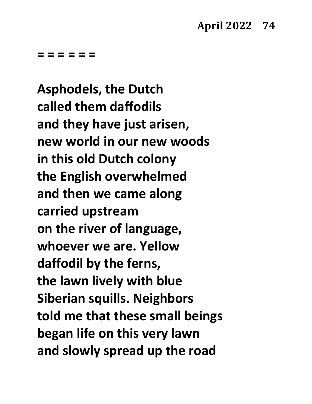**= = = = = =**

**Asphodels, the Dutch called them daffodils and they have just arisen, new world in our new woods in this old Dutch colony the English overwhelmed and then we came along carried upstream on the river of language, whoever we are. Yellow daffodil by the ferns, the lawn lively with blue Siberian squills. Neighbors told me that these small beings began life on this very lawn and slowly spread up the road**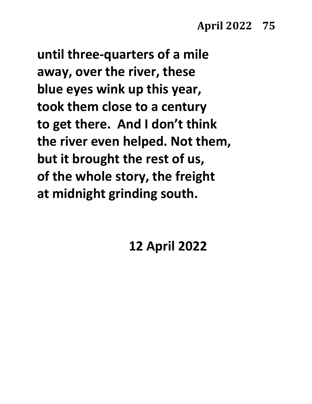**until three-quarters of a mile away, over the river, these blue eyes wink up this year, took them close to a century to get there. And I don't think the river even helped. Not them, but it brought the rest of us, of the whole story, the freight at midnight grinding south.**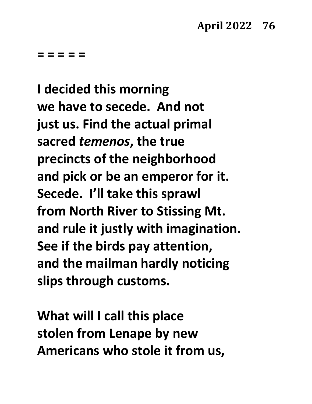**I decided this morning we have to secede. And not just us. Find the actual primal sacred** *temenos***, the true precincts of the neighborhood and pick or be an emperor for it. Secede. I'll take this sprawl from North River to Stissing Mt. and rule it justly with imagination. See if the birds pay attention, and the mailman hardly noticing slips through customs.** 

**What will I call this place stolen from Lenape by new Americans who stole it from us,**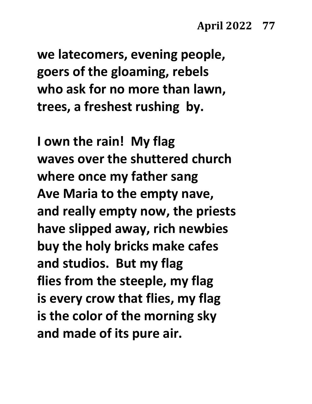**we latecomers, evening people, goers of the gloaming, rebels who ask for no more than lawn, trees, a freshest rushing by.**

**I own the rain! My flag waves over the shuttered church where once my father sang Ave Maria to the empty nave, and really empty now, the priests have slipped away, rich newbies buy the holy bricks make cafes and studios. But my flag flies from the steeple, my flag is every crow that flies, my flag is the color of the morning sky and made of its pure air.**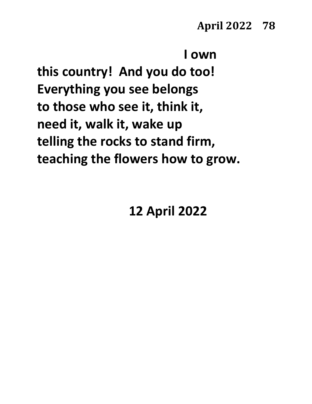```
I own
```
**this country! And you do too! Everything you see belongs to those who see it, think it, need it, walk it, wake up telling the rocks to stand firm, teaching the flowers how to grow.**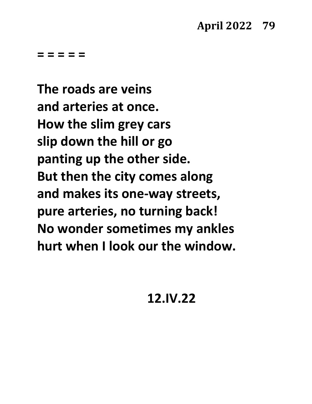**The roads are veins and arteries at once. How the slim grey cars slip down the hill or go panting up the other side. But then the city comes along and makes its one-way streets, pure arteries, no turning back! No wonder sometimes my ankles hurt when I look our the window.**

**12.IV.22**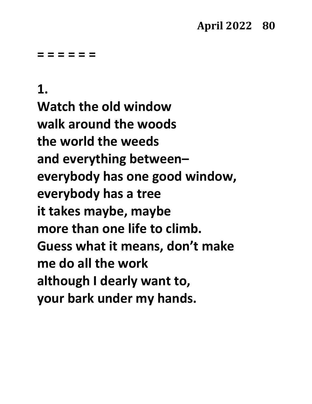#### **= = = = = =**

#### **1.**

**Watch the old window walk around the woods the world the weeds and everything between– everybody has one good window, everybody has a tree it takes maybe, maybe more than one life to climb. Guess what it means, don't make me do all the work although I dearly want to, your bark under my hands.**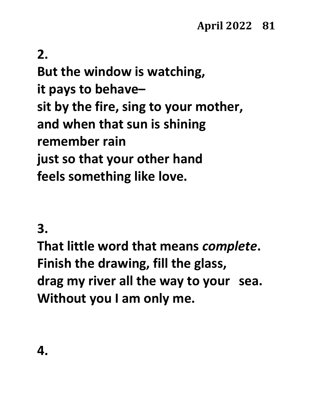# **2.**

**But the window is watching, it pays to behave– sit by the fire, sing to your mother, and when that sun is shining remember rain just so that your other hand feels something like love.**

### **3.**

**That little word that means** *complete***. Finish the drawing, fill the glass, drag my river all the way to your sea. Without you I am only me.**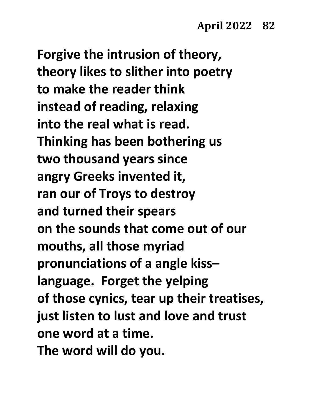**Forgive the intrusion of theory, theory likes to slither into poetry to make the reader think instead of reading, relaxing into the real what is read. Thinking has been bothering us two thousand years since angry Greeks invented it, ran our of Troys to destroy and turned their spears on the sounds that come out of our mouths, all those myriad pronunciations of a angle kiss– language. Forget the yelping of those cynics, tear up their treatises, just listen to lust and love and trust one word at a time. The word will do you.**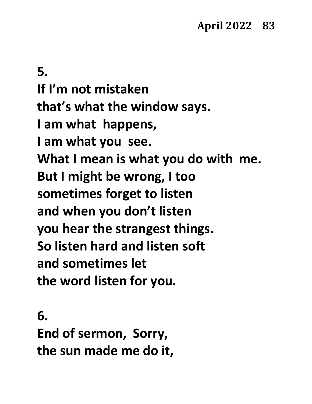**5. If I'm not mistaken that's what the window says. I am what happens, I am what you see. What I mean is what you do with me. But I might be wrong, I too sometimes forget to listen and when you don't listen you hear the strangest things. So listen hard and listen soft and sometimes let the word listen for you.**

**6. End of sermon, Sorry, the sun made me do it,**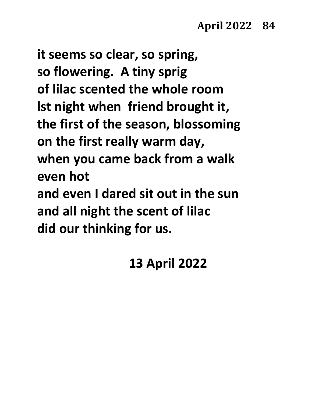**it seems so clear, so spring, so flowering. A tiny sprig of lilac scented the whole room lst night when friend brought it, the first of the season, blossoming on the first really warm day, when you came back from a walk even hot and even I dared sit out in the sun and all night the scent of lilac did our thinking for us.**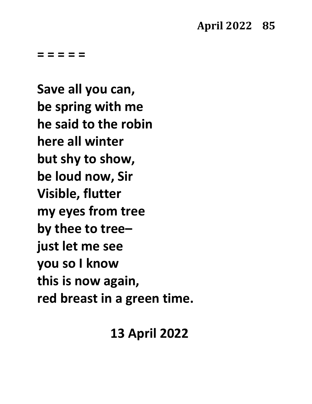**Save all you can, be spring with me he said to the robin here all winter but shy to show, be loud now, Sir Visible, flutter my eyes from tree by thee to tree– just let me see you so I know this is now again, red breast in a green time.**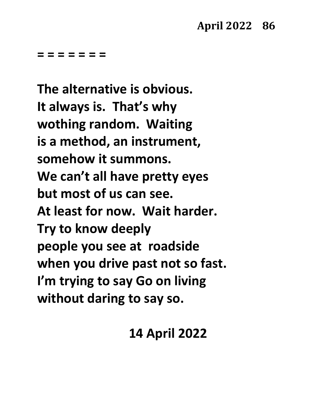#### **= = = = = = =**

**The alternative is obvious. It always is. That's why wothing random. Waiting is a method, an instrument, somehow it summons. We can't all have pretty eyes but most of us can see. At least for now. Wait harder. Try to know deeply people you see at roadside when you drive past not so fast. I'm trying to say Go on living without daring to say so.**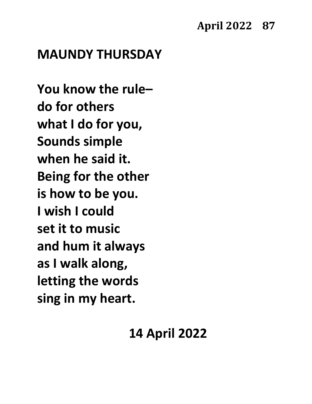#### **April 2022 87**

# **MAUNDY THURSDAY**

**You know the rule– do for others what I do for you, Sounds simple when he said it. Being for the other is how to be you. I wish I could set it to music and hum it always as I walk along, letting the words sing in my heart.**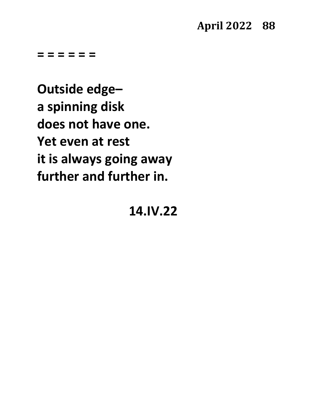**= = = = = =**

**Outside edge– a spinning disk does not have one. Yet even at rest it is always going away further and further in.**

**14.IV.22**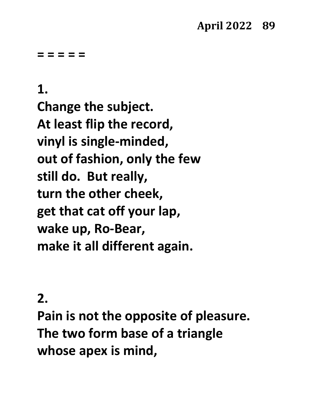# **1.**

**Change the subject. At least flip the record, vinyl is single-minded, out of fashion, only the few still do. But really, turn the other cheek, get that cat off your lap, wake up, Ro-Bear, make it all different again.**

### **2.**

**Pain is not the opposite of pleasure. The two form base of a triangle whose apex is mind,**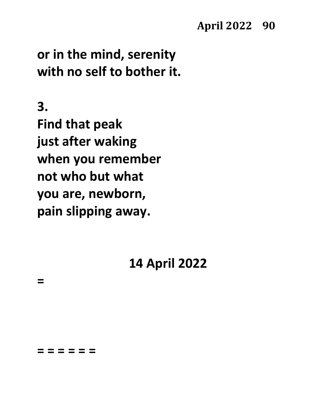### **April 2022 90**

# **or in the mind, serenity with no self to bother it.**

**3.**

**=**

**Find that peak just after waking when you remember not who but what you are, newborn, pain slipping away.**

# **14 April 2022**

**= = = = = =**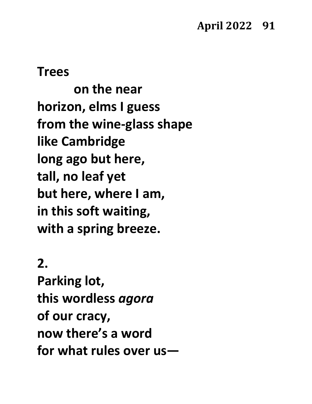#### **Trees**

**on the near horizon, elms I guess from the wine-glass shape like Cambridge long ago but here, tall, no leaf yet but here, where I am, in this soft waiting, with a spring breeze.**

### **2.**

**Parking lot, this wordless** *agora* **of our cracy, now there's a word for what rules over us—**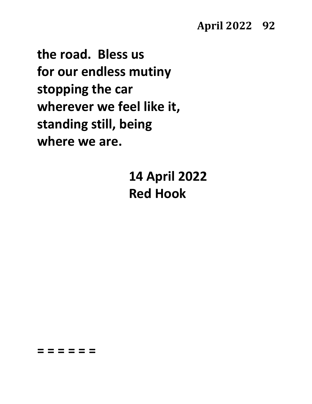#### **April 2022 92**

**the road. Bless us for our endless mutiny stopping the car wherever we feel like it, standing still, being where we are.**

**= = = = = =**

**14 April 2022 Red Hook**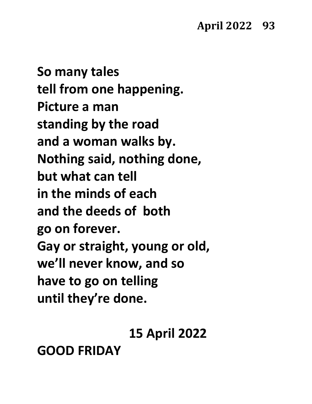**So many tales tell from one happening. Picture a man standing by the road and a woman walks by. Nothing said, nothing done, but what can tell in the minds of each and the deeds of both go on forever. Gay or straight, young or old, we'll never know, and so have to go on telling until they're done.**

**15 April 2022**

**GOOD FRIDAY**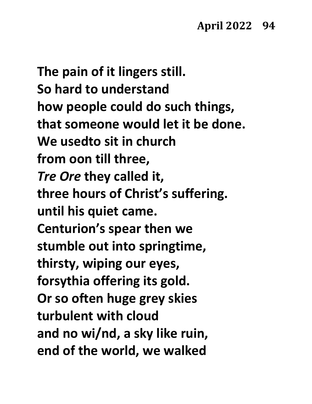**The pain of it lingers still. So hard to understand how people could do such things, that someone would let it be done. We usedto sit in church from oon till three,** *Tre Ore* **they called it, three hours of Christ's suffering. until his quiet came. Centurion's spear then we stumble out into springtime, thirsty, wiping our eyes, forsythia offering its gold. Or so often huge grey skies turbulent with cloud and no wi/nd, a sky like ruin, end of the world, we walked**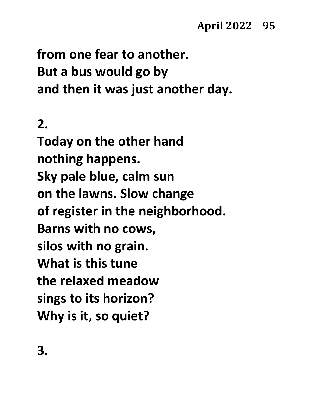**from one fear to another. But a bus would go by and then it was just another day.**

# **2.**

**Today on the other hand nothing happens. Sky pale blue, calm sun on the lawns. Slow change of register in the neighborhood. Barns with no cows, silos with no grain. What is this tune the relaxed meadow sings to its horizon? Why is it, so quiet?**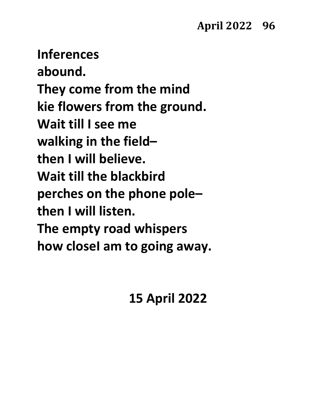**Inferences abound. They come from the mind kie flowers from the ground. Wait till I see me walking in the field– then I will believe. Wait till the blackbird perches on the phone pole– then I will listen. The empty road whispers how closeI am to going away.**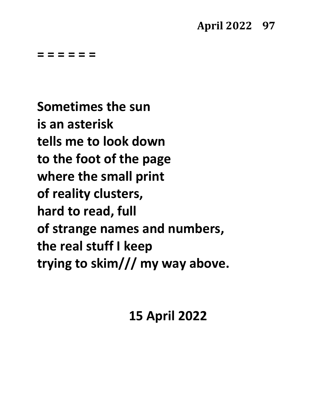**= = = = = =**

**Sometimes the sun is an asterisk tells me to look down to the foot of the page where the small print of reality clusters, hard to read, full of strange names and numbers, the real stuff I keep trying to skim/// my way above.**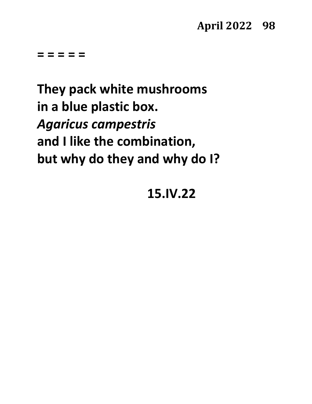**They pack white mushrooms in a blue plastic box.** *Agaricus campestris* **and I like the combination, but why do they and why do I?**

# **15.IV.22**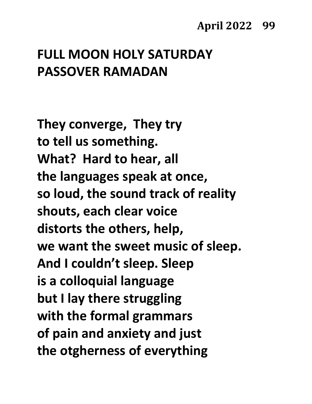# **FULL MOON HOLY SATURDAY PASSOVER RAMADAN**

**They converge, They try to tell us something. What? Hard to hear, all the languages speak at once, so loud, the sound track of reality shouts, each clear voice distorts the others, help, we want the sweet music of sleep. And I couldn't sleep. Sleep is a colloquial language but I lay there struggling with the formal grammars of pain and anxiety and just the otgherness of everything**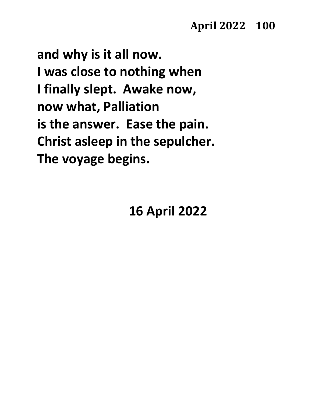**and why is it all now. I was close to nothing when I finally slept. Awake now, now what, Palliation is the answer. Ease the pain. Christ asleep in the sepulcher. The voyage begins.**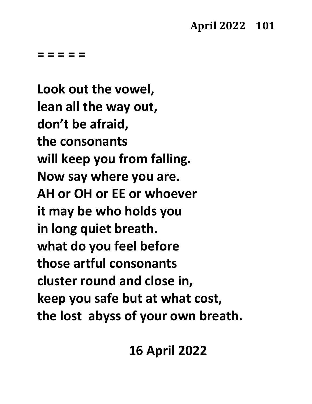**Look out the vowel, lean all the way out, don't be afraid, the consonants will keep you from falling. Now say where you are. AH or OH or EE or whoever it may be who holds you in long quiet breath. what do you feel before those artful consonants cluster round and close in, keep you safe but at what cost, the lost abyss of your own breath.**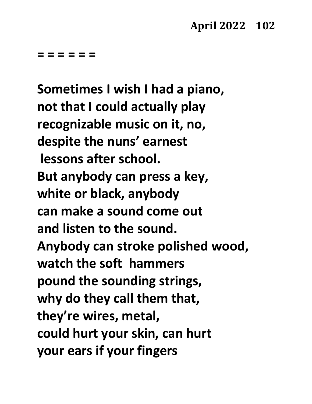**= = = = = =**

**Sometimes I wish I had a piano, not that I could actually play recognizable music on it, no, despite the nuns' earnest lessons after school. But anybody can press a key, white or black, anybody can make a sound come out and listen to the sound. Anybody can stroke polished wood, watch the soft hammers pound the sounding strings, why do they call them that, they're wires, metal, could hurt your skin, can hurt your ears if your fingers**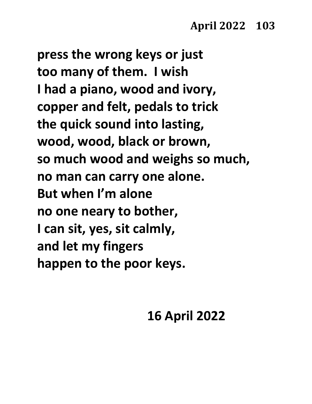**press the wrong keys or just too many of them. I wish I had a piano, wood and ivory, copper and felt, pedals to trick the quick sound into lasting, wood, wood, black or brown, so much wood and weighs so much, no man can carry one alone. But when I'm alone no one neary to bother, I can sit, yes, sit calmly, and let my fingers happen to the poor keys.**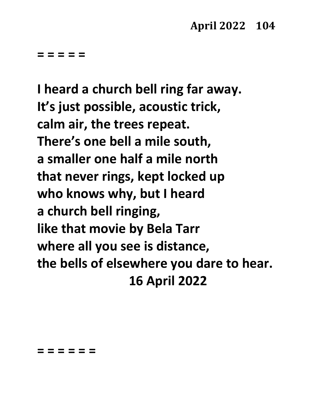**I heard a church bell ring far away. It's just possible, acoustic trick, calm air, the trees repeat. There's one bell a mile south, a smaller one half a mile north that never rings, kept locked up who knows why, but I heard a church bell ringing, like that movie by Bela Tarr where all you see is distance, the bells of elsewhere you dare to hear. 16 April 2022**

#### **= = = = = =**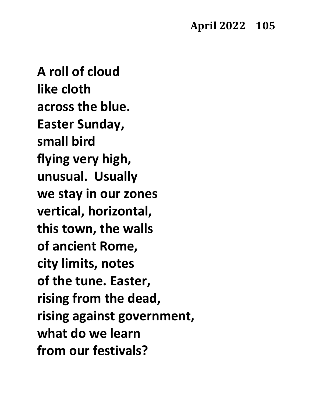**A roll of cloud like cloth across the blue. Easter Sunday, small bird flying very high, unusual. Usually we stay in our zones vertical, horizontal, this town, the walls of ancient Rome, city limits, notes of the tune. Easter, rising from the dead, rising against government, what do we learn from our festivals?**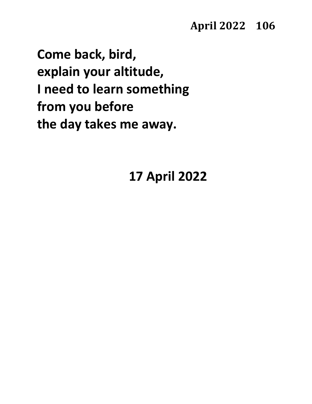**Come back, bird, explain your altitude, I need to learn something from you before the day takes me away.**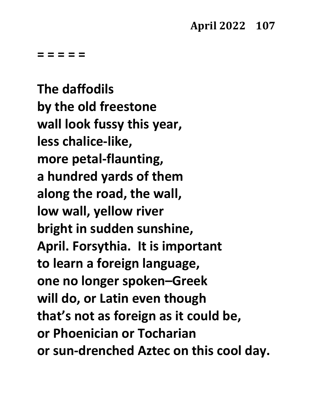**The daffodils by the old freestone wall look fussy this year, less chalice-like, more petal-flaunting, a hundred yards of them along the road, the wall, low wall, yellow river bright in sudden sunshine, April. Forsythia. It is important to learn a foreign language, one no longer spoken–Greek will do, or Latin even though that's not as foreign as it could be, or Phoenician or Tocharian or sun-drenched Aztec on this cool day.**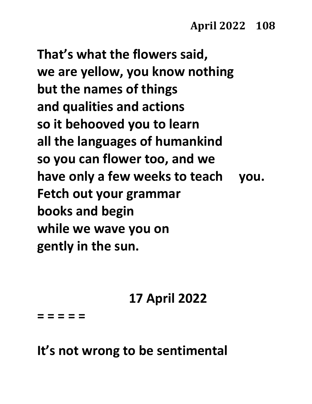**That's what the flowers said, we are yellow, you know nothing but the names of things and qualities and actions so it behooved you to learn all the languages of humankind so you can flower too, and we have only a few weeks to teach you. Fetch out your grammar books and begin while we wave you on gently in the sun.**

## **17 April 2022**

**= = = = =**

### **It's not wrong to be sentimental**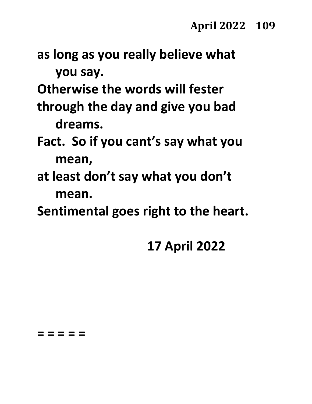**as long as you really believe what you say.**

**Otherwise the words will fester**

- **through the day and give you bad dreams.**
- **Fact. So if you cant's say what you mean,**
- **at least don't say what you don't mean.**
- **Sentimental goes right to the heart.**

# **17 April 2022**

#### **= = = = =**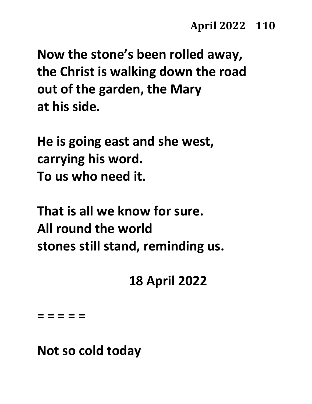**Now the stone's been rolled away, the Christ is walking down the road out of the garden, the Mary at his side.**

**He is going east and she west, carrying his word. To us who need it.**

**That is all we know for sure. All round the world stones still stand, reminding us.**

**18 April 2022**

**= = = = =**

**Not so cold today**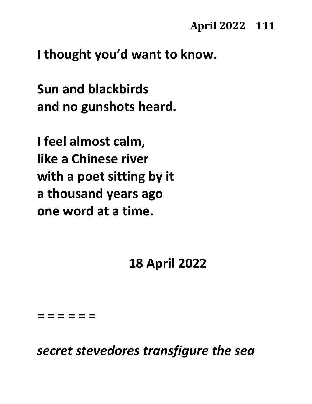**I thought you'd want to know.**

**Sun and blackbirds and no gunshots heard.**

**I feel almost calm, like a Chinese river with a poet sitting by it a thousand years ago one word at a time.**

#### **18 April 2022**

**= = = = = =**

*secret stevedores transfigure the sea*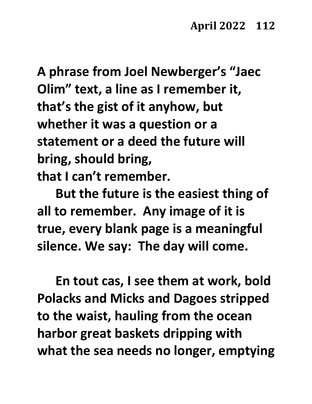**A phrase from Joel Newberger's "Jaec Olim" text, a line as I remember it, that's the gist of it anyhow, but whether it was a question or a statement or a deed the future will bring, should bring, that I can't remember.**

**But the future is the easiest thing of all to remember. Any image of it is true, every blank page is a meaningful silence. We say: The day will come.**

**En tout cas, I see them at work, bold Polacks and Micks and Dagoes stripped to the waist, hauling from the ocean harbor great baskets dripping with what the sea needs no longer, emptying**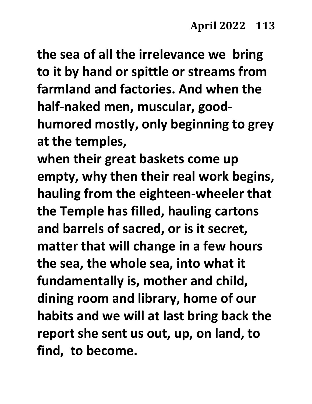**the sea of all the irrelevance we bring to it by hand or spittle or streams from farmland and factories. And when the half-naked men, muscular, goodhumored mostly, only beginning to grey at the temples, when their great baskets come up** 

**empty, why then their real work begins, hauling from the eighteen-wheeler that the Temple has filled, hauling cartons and barrels of sacred, or is it secret, matter that will change in a few hours the sea, the whole sea, into what it fundamentally is, mother and child, dining room and library, home of our habits and we will at last bring back the report she sent us out, up, on land, to find, to become.**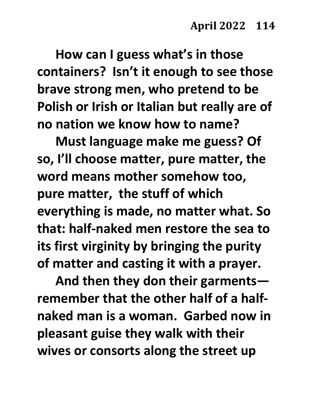**How can I guess what's in those containers? Isn't it enough to see those brave strong men, who pretend to be Polish or Irish or Italian but really are of no nation we know how to name?** 

**Must language make me guess? Of so, I'll choose matter, pure matter, the word means mother somehow too, pure matter, the stuff of which everything is made, no matter what. So that: half-naked men restore the sea to its first virginity by bringing the purity of matter and casting it with a prayer.**

**And then they don their garments remember that the other half of a halfnaked man is a woman. Garbed now in pleasant guise they walk with their wives or consorts along the street up**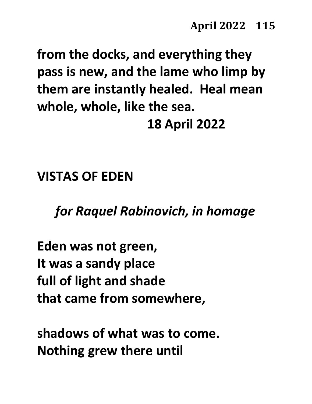**from the docks, and everything they pass is new, and the lame who limp by them are instantly healed. Heal mean whole, whole, like the sea. 18 April 2022**

**VISTAS OF EDEN**

*for Raquel Rabinovich, in homage*

**Eden was not green, It was a sandy place full of light and shade that came from somewhere,**

**shadows of what was to come. Nothing grew there until**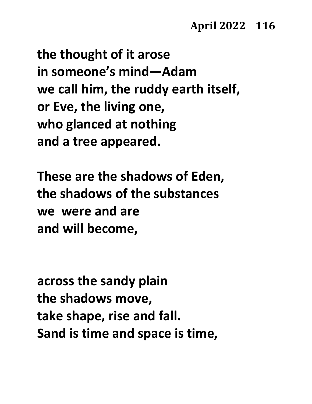**the thought of it arose in someone's mind—Adam we call him, the ruddy earth itself, or Eve, the living one, who glanced at nothing and a tree appeared.**

**These are the shadows of Eden, the shadows of the substances we were and are and will become,**

**across the sandy plain the shadows move, take shape, rise and fall. Sand is time and space is time,**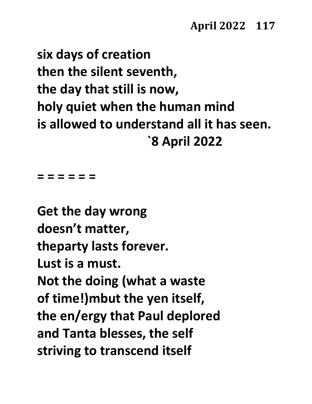**six days of creation then the silent seventh, the day that still is now, holy quiet when the human mind is allowed to understand all it has seen. `8 April 2022**

**= = = = = =**

**Get the day wrong doesn't matter, theparty lasts forever. Lust is a must. Not the doing (what a waste of time!)mbut the yen itself, the en/ergy that Paul deplored and Tanta blesses, the self striving to transcend itself**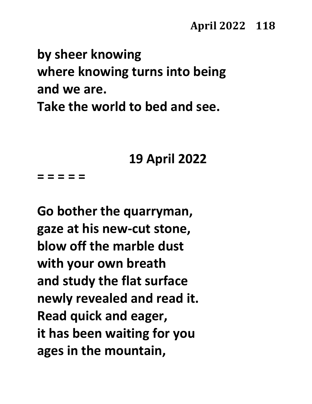# **by sheer knowing where knowing turns into being and we are. Take the world to bed and see.**

**19 April 2022**

**= = = = =**

**Go bother the quarryman, gaze at his new-cut stone, blow off the marble dust with your own breath and study the flat surface newly revealed and read it. Read quick and eager, it has been waiting for you ages in the mountain,**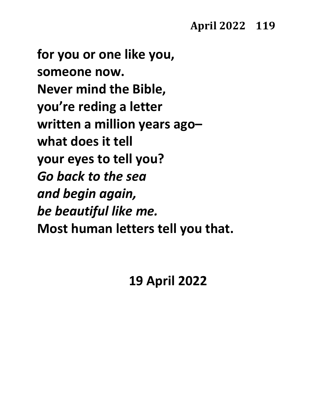**for you or one like you, someone now. Never mind the Bible, you're reding a letter written a million years ago– what does it tell your eyes to tell you?** *Go back to the sea and begin again, be beautiful like me.* **Most human letters tell you that.**

### **19 April 2022**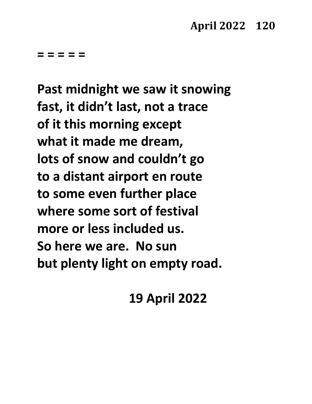**Past midnight we saw it snowing fast, it didn't last, not a trace of it this morning except what it made me dream, lots of snow and couldn't go to a distant airport en route to some even further place where some sort of festival more or less included us. So here we are. No sun but plenty light on empty road.**

**19 April 2022**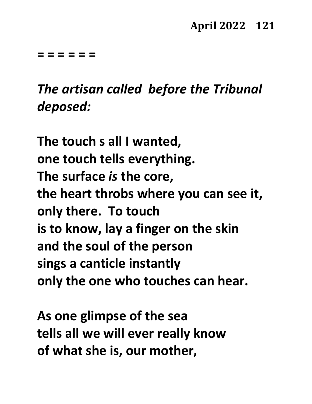**= = = = = =**

*The artisan called before the Tribunal deposed:*

**The touch s all I wanted, one touch tells everything. The surface** *is* **the core, the heart throbs where you can see it, only there. To touch is to know, lay a finger on the skin and the soul of the person sings a canticle instantly only the one who touches can hear.**

**As one glimpse of the sea tells all we will ever really know of what she is, our mother,**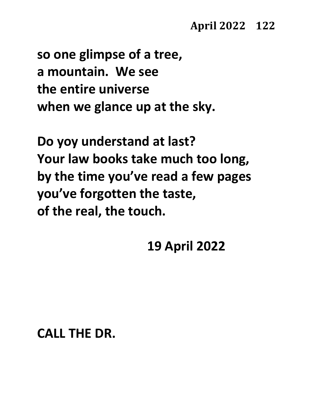**so one glimpse of a tree, a mountain. We see the entire universe when we glance up at the sky.**

**Do yoy understand at last? Your law books take much too long, by the time you've read a few pages you've forgotten the taste, of the real, the touch.**

**19 April 2022**

#### **CALL THE DR.**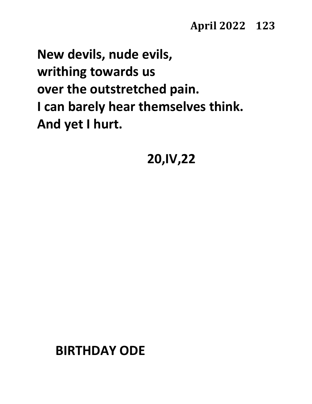**New devils, nude evils, writhing towards us over the outstretched pain. I can barely hear themselves think. And yet I hurt.**

**20,IV,22**

#### **BIRTHDAY ODE**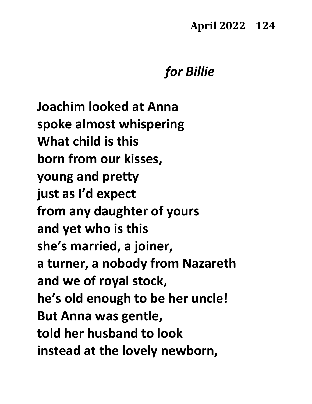#### **April 2022 124**

#### *for Billie*

**Joachim looked at Anna spoke almost whispering What child is this born from our kisses, young and pretty just as I'd expect from any daughter of yours and yet who is this she's married, a joiner, a turner, a nobody from Nazareth and we of royal stock, he's old enough to be her uncle! But Anna was gentle, told her husband to look instead at the lovely newborn,**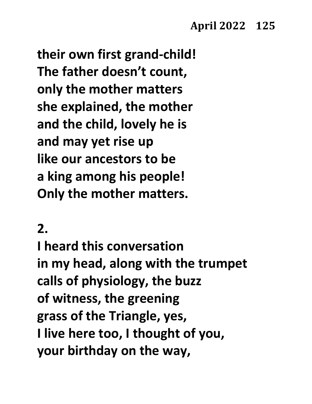**their own first grand-child! The father doesn't count, only the mother matters she explained, the mother and the child, lovely he is and may yet rise up like our ancestors to be a king among his people! Only the mother matters.**

### **2.**

**I heard this conversation in my head, along with the trumpet calls of physiology, the buzz of witness, the greening grass of the Triangle, yes, I live here too, I thought of you, your birthday on the way,**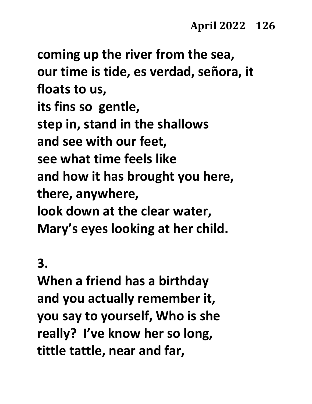**coming up the river from the sea, our time is tide, es verdad, señora, it floats to us, its fins so gentle, step in, stand in the shallows and see with our feet, see what time feels like and how it has brought you here, there, anywhere, look down at the clear water, Mary's eyes looking at her child.**

#### **3.**

**When a friend has a birthday and you actually remember it, you say to yourself, Who is she really? I've know her so long, tittle tattle, near and far,**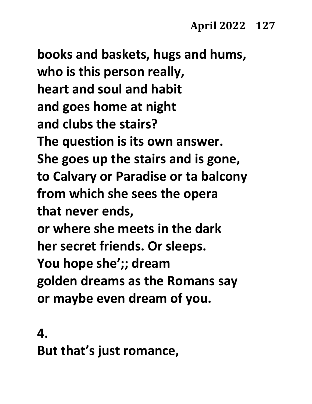**books and baskets, hugs and hums, who is this person really, heart and soul and habit and goes home at night and clubs the stairs? The question is its own answer. She goes up the stairs and is gone, to Calvary or Paradise or ta balcony from which she sees the opera that never ends, or where she meets in the dark her secret friends. Or sleeps. You hope she';; dream golden dreams as the Romans say or maybe even dream of you.**

**4. But that's just romance,**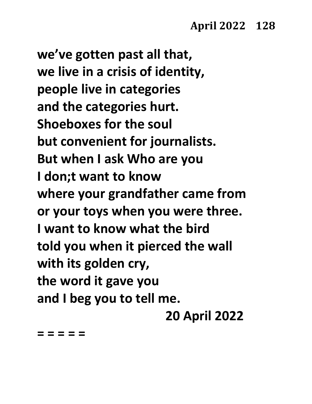**we've gotten past all that, we live in a crisis of identity, people live in categories and the categories hurt. Shoeboxes for the soul but convenient for journalists. But when I ask Who are you I don;t want to know where your grandfather came from or your toys when you were three. I want to know what the bird told you when it pierced the wall with its golden cry, the word it gave you and I beg you to tell me.**

**20 April 2022**

**= = = = =**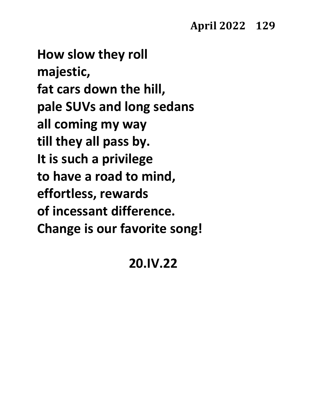**How slow they roll majestic, fat cars down the hill, pale SUVs and long sedans all coming my way till they all pass by. It is such a privilege to have a road to mind, effortless, rewards of incessant difference. Change is our favorite song!**

#### **20.IV.22**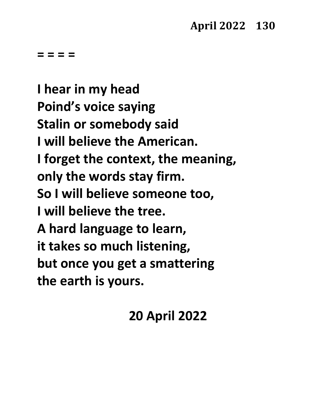**= = = =** 

**I hear in my head Poind's voice saying Stalin or somebody said I will believe the American. I forget the context, the meaning, only the words stay firm. So I will believe someone too, I will believe the tree. A hard language to learn, it takes so much listening, but once you get a smattering the earth is yours.**

### **20 April 2022**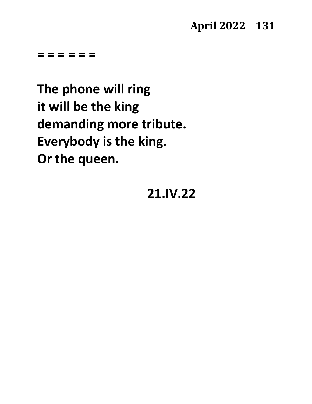**= = = = = =**

**The phone will ring it will be the king demanding more tribute. Everybody is the king. Or the queen.**

#### **21.IV.22**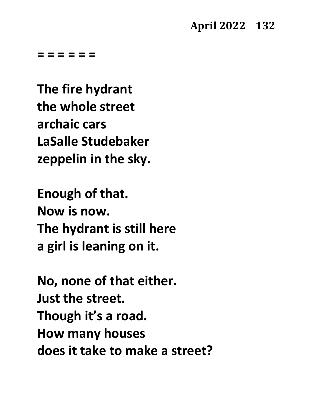#### **April 2022 132**

**= = = = = =**

**The fire hydrant the whole street archaic cars LaSalle Studebaker zeppelin in the sky.**

**Enough of that. Now is now. The hydrant is still here a girl is leaning on it.**

**No, none of that either. Just the street. Though it's a road. How many houses does it take to make a street?**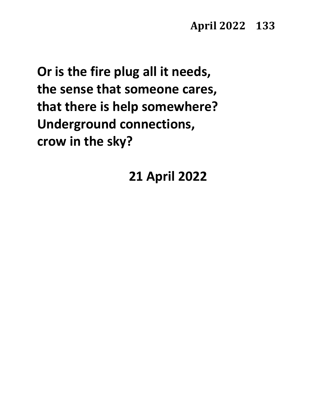**Or is the fire plug all it needs, the sense that someone cares, that there is help somewhere? Underground connections, crow in the sky?**

**21 April 2022**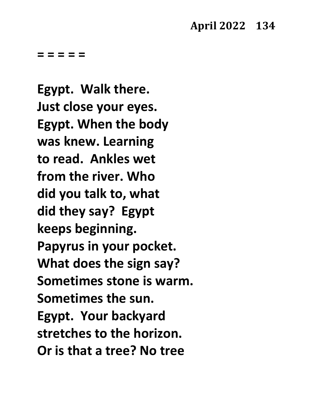**Egypt. Walk there. Just close your eyes. Egypt. When the body was knew. Learning to read. Ankles wet from the river. Who did you talk to, what did they say? Egypt keeps beginning. Papyrus in your pocket. What does the sign say? Sometimes stone is warm. Sometimes the sun. Egypt. Your backyard stretches to the horizon. Or is that a tree? No tree**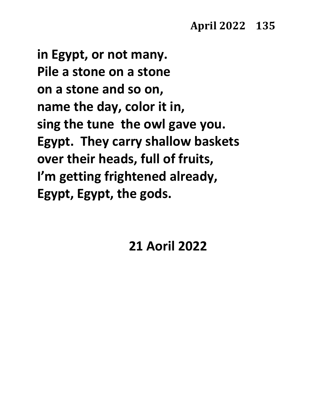**in Egypt, or not many. Pile a stone on a stone on a stone and so on, name the day, color it in, sing the tune the owl gave you. Egypt. They carry shallow baskets over their heads, full of fruits, I'm getting frightened already, Egypt, Egypt, the gods.**

#### **21 Aoril 2022**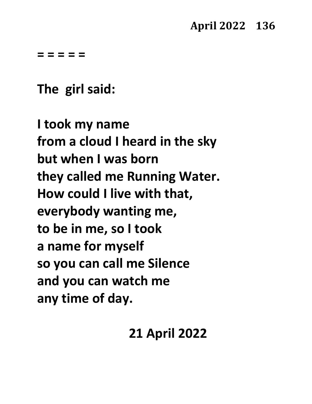**The girl said:**

**I took my name from a cloud I heard in the sky but when I was born they called me Running Water. How could I live with that, everybody wanting me, to be in me, so I took a name for myself so you can call me Silence and you can watch me any time of day.**

### **21 April 2022**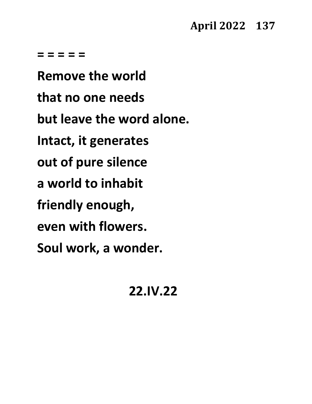**Remove the world that no one needs but leave the word alone. Intact, it generates out of pure silence a world to inhabit friendly enough, even with flowers. Soul work, a wonder.**

#### **22.IV.22**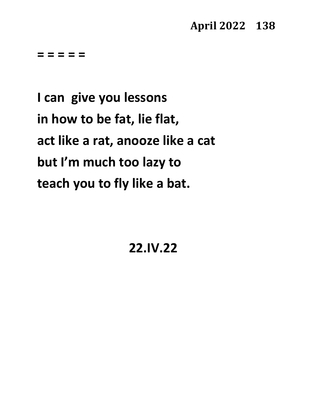**I can give you lessons in how to be fat, lie flat, act like a rat, anooze like a cat but I'm much too lazy to teach you to fly like a bat.**

**22.IV.22**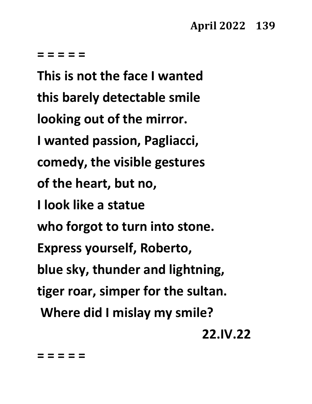**This is not the face I wanted this barely detectable smile looking out of the mirror. I wanted passion, Pagliacci, comedy, the visible gestures of the heart, but no, I look like a statue who forgot to turn into stone. Express yourself, Roberto, blue sky, thunder and lightning, tiger roar, simper for the sultan. Where did I mislay my smile?**

**22.IV.22**

**= = = = =**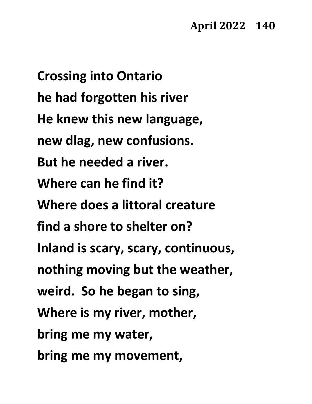**Crossing into Ontario he had forgotten his river He knew this new language, new dlag, new confusions. But he needed a river. Where can he find it? Where does a littoral creature find a shore to shelter on? Inland is scary, scary, continuous, nothing moving but the weather, weird. So he began to sing, Where is my river, mother, bring me my water, bring me my movement,**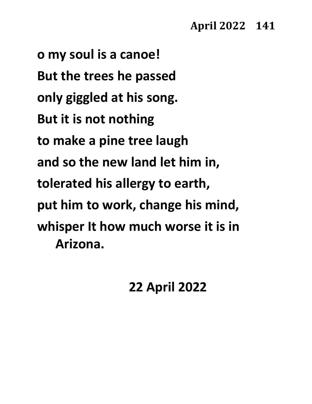**o my soul is a canoe! But the trees he passed only giggled at his song. But it is not nothing to make a pine tree laugh and so the new land let him in, tolerated his allergy to earth, put him to work, change his mind, whisper It how much worse it is in Arizona.**

**22 April 2022**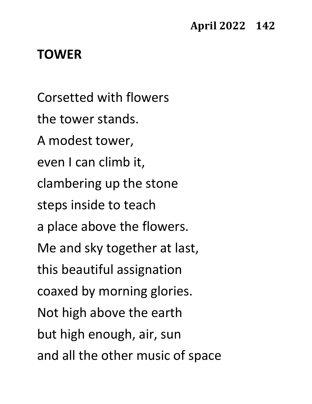#### **TOWER**

Corsetted with flowers the tower stands. A modest tower, even I can climb it, clambering up the stone steps inside to teach a place above the flowers. Me and sky together at last, this beautiful assignation coaxed by morning glories. Not high above the earth but high enough, air, sun and all the other music of space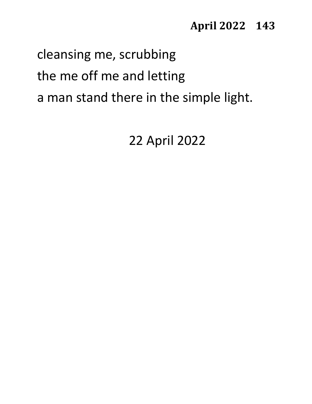#### **April 2022 143**

# cleansing me, scrubbing the me off me and letting a man stand there in the simple light.

22 April 2022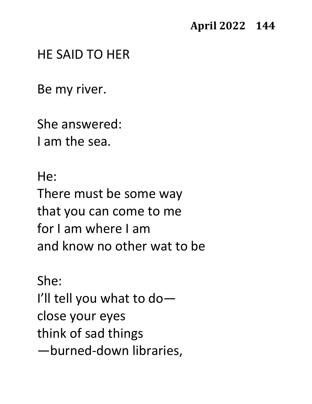#### HE SAID TO HER

Be my river.

She answered: I am the sea.

He: There must be some way that you can come to me for I am where I am and know no other wat to be

She: I'll tell you what to do close your eyes think of sad things —burned-down libraries,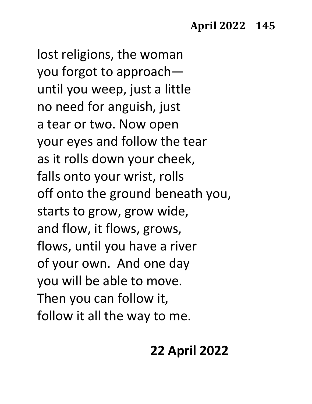lost religions, the woman you forgot to approach until you weep, just a little no need for anguish, just a tear or two. Now open your eyes and follow the tear as it rolls down your cheek, falls onto your wrist, rolls off onto the ground beneath you, starts to grow, grow wide, and flow, it flows, grows, flows, until you have a river of your own. And one day you will be able to move. Then you can follow it, follow it all the way to me.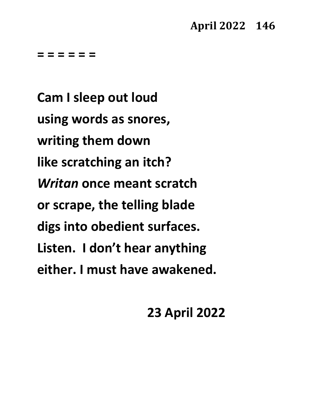**= = = = = =**

**Cam I sleep out loud using words as snores, writing them down like scratching an itch?** *Writan* **once meant scratch or scrape, the telling blade digs into obedient surfaces. Listen. I don't hear anything either. I must have awakened.**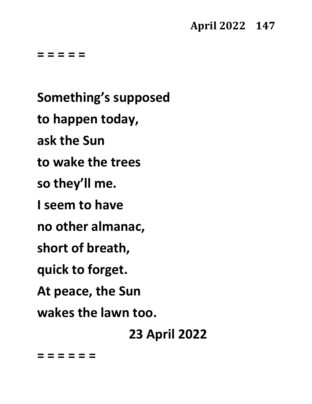#### **April 2022 147**

**= = = = =**

**Something's supposed to happen today, ask the Sun to wake the trees so they'll me. I seem to have no other almanac, short of breath, quick to forget. At peace, the Sun wakes the lawn too. 23 April 2022**

**= = = = = =**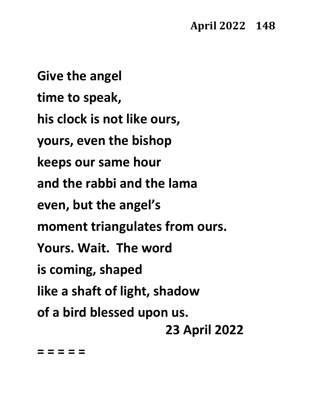**Give the angel time to speak, his clock is not like ours, yours, even the bishop keeps our same hour and the rabbi and the lama even, but the angel's moment triangulates from ours. Yours. Wait. The word is coming, shaped like a shaft of light, shadow of a bird blessed upon us. 23 April 2022**

**= = = = =**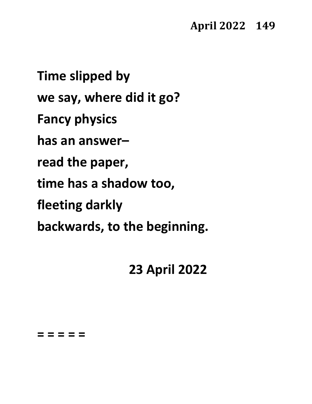**Time slipped by we say, where did it go? Fancy physics has an answer– read the paper, time has a shadow too, fleeting darkly backwards, to the beginning.**

### **23 April 2022**

**= = = = =**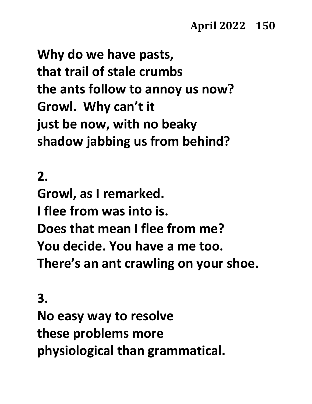**Why do we have pasts, that trail of stale crumbs the ants follow to annoy us now? Growl. Why can't it just be now, with no beaky shadow jabbing us from behind?**

#### **2.**

**Growl, as I remarked. I flee from was into is. Does that mean I flee from me? You decide. You have a me too. There's an ant crawling on your shoe.**

**3. No easy way to resolve these problems more physiological than grammatical.**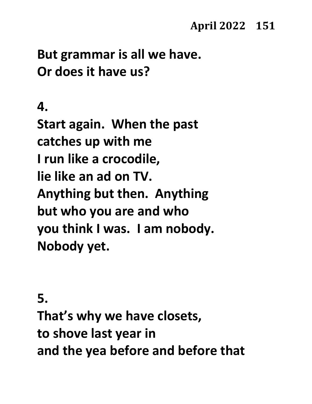### **But grammar is all we have. Or does it have us?**

#### **4.**

**Start again. When the past catches up with me I run like a crocodile, lie like an ad on TV. Anything but then. Anything but who you are and who you think I was. I am nobody. Nobody yet.**

#### **5.**

**That's why we have closets, to shove last year in and the yea before and before that**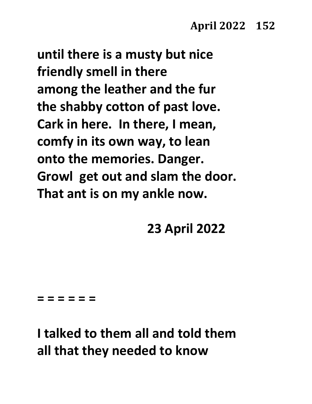**until there is a musty but nice friendly smell in there among the leather and the fur the shabby cotton of past love. Cark in here. In there, I mean, comfy in its own way, to lean onto the memories. Danger. Growl get out and slam the door. That ant is on my ankle now.**

**23 April 2022**

#### **= = = = = =**

**I talked to them all and told them all that they needed to know**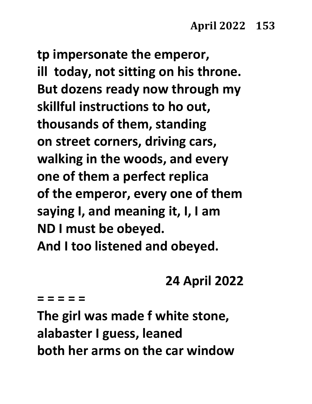**tp impersonate the emperor, ill today, not sitting on his throne. But dozens ready now through my skillful instructions to ho out, thousands of them, standing on street corners, driving cars, walking in the woods, and every one of them a perfect replica of the emperor, every one of them saying I, and meaning it, I, I am ND I must be obeyed. And I too listened and obeyed.**

### **24 April 2022**

**= = = = =**

**The girl was made f white stone, alabaster I guess, leaned both her arms on the car window**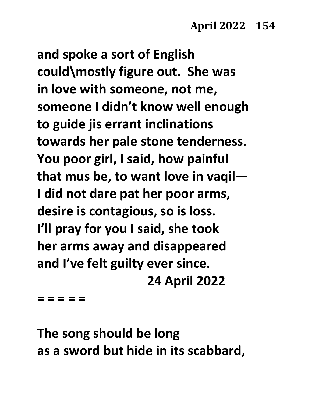**and spoke a sort of English could\mostly figure out. She was in love with someone, not me, someone I didn't know well enough to guide jis errant inclinations towards her pale stone tenderness. You poor girl, I said, how painful that mus be, to want love in vaqil— I did not dare pat her poor arms, desire is contagious, so is loss. I'll pray for you I said, she took her arms away and disappeared and I've felt guilty ever since. 24 April 2022**

**= = = = =**

**The song should be long as a sword but hide in its scabbard,**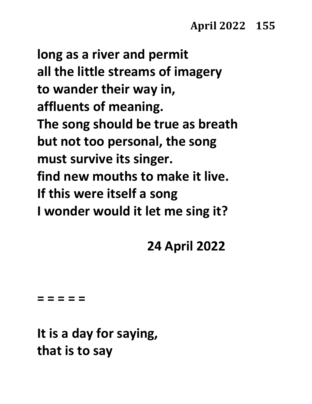**long as a river and permit all the little streams of imagery to wander their way in, affluents of meaning. The song should be true as breath but not too personal, the song must survive its singer. find new mouths to make it live. If this were itself a song I wonder would it let me sing it?**

### **24 April 2022**

**= = = = =**

**It is a day for saying, that is to say**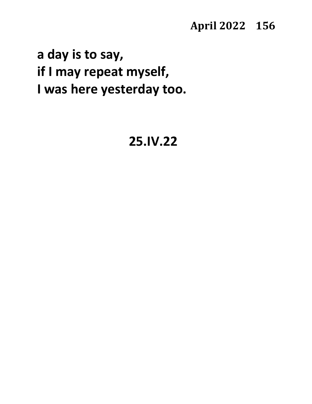#### **April 2022 156**

**a day is to say, if I may repeat myself, I was here yesterday too.**

### **25.IV.22**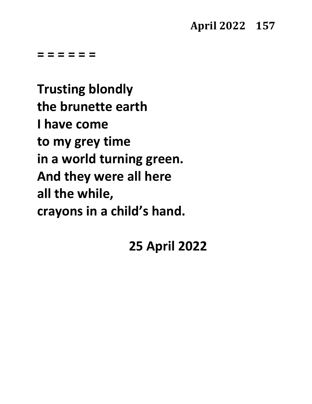**= = = = = =**

**Trusting blondly the brunette earth I have come to my grey time in a world turning green. And they were all here all the while, crayons in a child's hand.**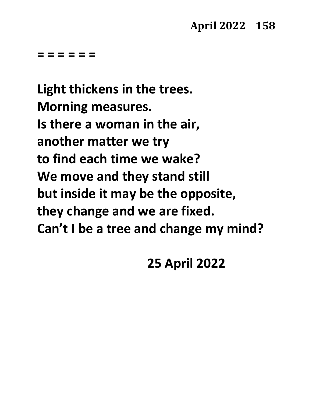**= = = = = =**

**Light thickens in the trees. Morning measures. Is there a woman in the air, another matter we try to find each time we wake? We move and they stand still but inside it may be the opposite, they change and we are fixed. Can't I be a tree and change my mind?**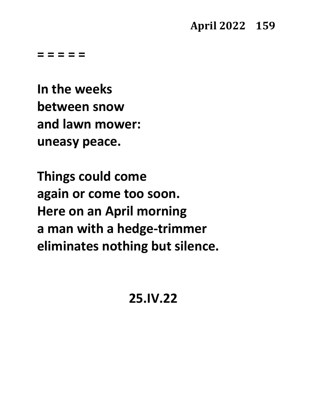**= = = = =**

**In the weeks between snow and lawn mower: uneasy peace.**

**Things could come again or come too soon. Here on an April morning a man with a hedge-trimmer eliminates nothing but silence.**

**25.IV.22**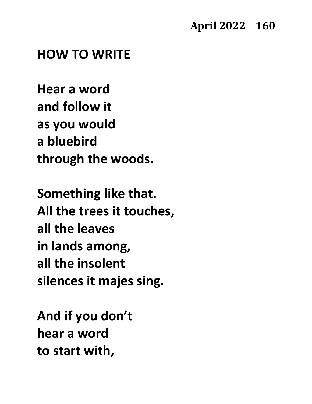#### **HOW TO WRITE**

**Hear a word and follow it as you would a bluebird through the woods.**

**Something like that. All the trees it touches, all the leaves in lands among, all the insolent silences it majes sing.**

**And if you don't hear a word to start with,**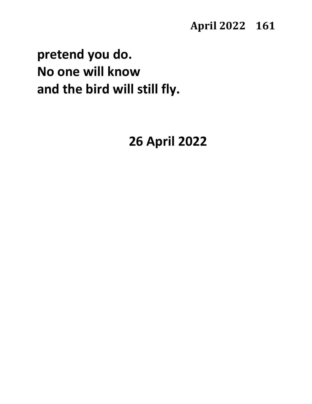#### **April 2022 161**

# **pretend you do. No one will know and the bird will still fly.**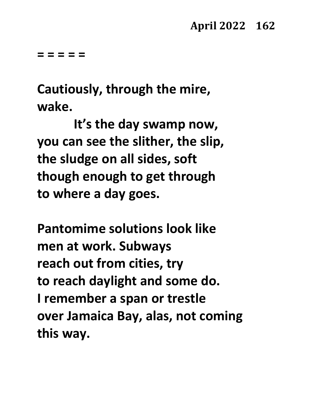**= = = = =** 

**Cautiously, through the mire, wake.** 

**It's the day swamp now, you can see the slither, the slip, the sludge on all sides, soft though enough to get through to where a day goes.**

**Pantomime solutions look like men at work. Subways reach out from cities, try to reach daylight and some do. I remember a span or trestle over Jamaica Bay, alas, not coming this way.**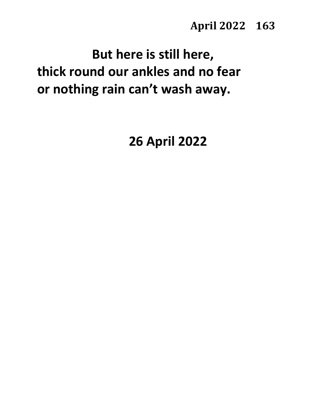# **But here is still here, thick round our ankles and no fear or nothing rain can't wash away.**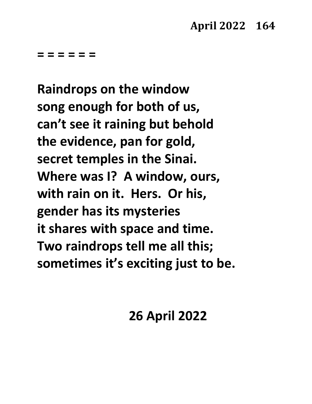**= = = = = =**

**Raindrops on the window song enough for both of us, can't see it raining but behold the evidence, pan for gold, secret temples in the Sinai. Where was I? A window, ours, with rain on it. Hers. Or his, gender has its mysteries it shares with space and time. Two raindrops tell me all this; sometimes it's exciting just to be.**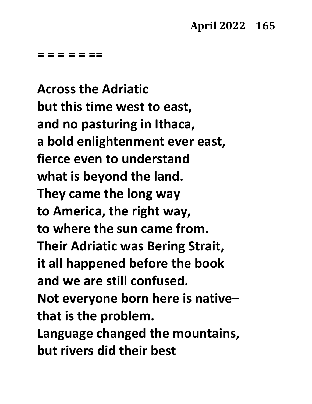**= = = = = ==**

**Across the Adriatic but this time west to east, and no pasturing in Ithaca, a bold enlightenment ever east, fierce even to understand what is beyond the land. They came the long way to America, the right way, to where the sun came from. Their Adriatic was Bering Strait, it all happened before the book and we are still confused. Not everyone born here is native– that is the problem. Language changed the mountains, but rivers did their best**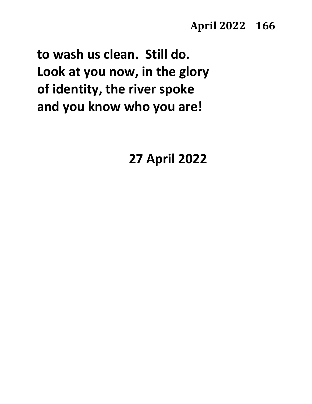**to wash us clean. Still do. Look at you now, in the glory of identity, the river spoke and you know who you are!**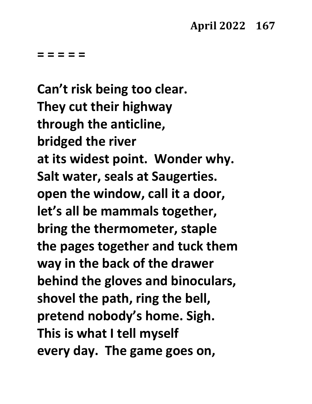**= = = = =**

**Can't risk being too clear. They cut their highway through the anticline, bridged the river at its widest point. Wonder why. Salt water, seals at Saugerties. open the window, call it a door, let's all be mammals together, bring the thermometer, staple the pages together and tuck them way in the back of the drawer behind the gloves and binoculars, shovel the path, ring the bell, pretend nobody's home. Sigh. This is what I tell myself every day. The game goes on,**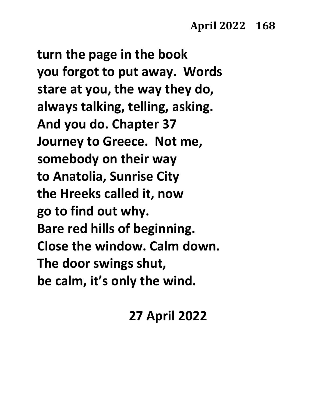**turn the page in the book you forgot to put away. Words stare at you, the way they do, always talking, telling, asking. And you do. Chapter 37 Journey to Greece. Not me, somebody on their way to Anatolia, Sunrise City the Hreeks called it, now go to find out why. Bare red hills of beginning. Close the window. Calm down. The door swings shut, be calm, it's only the wind.**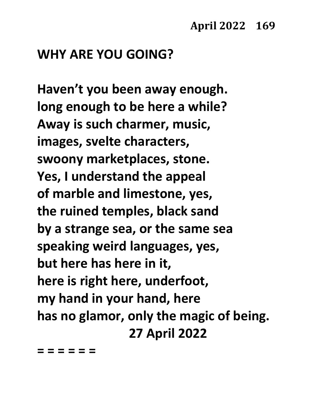#### **WHY ARE YOU GOING?**

**Haven't you been away enough. long enough to be here a while? Away is such charmer, music, images, svelte characters, swoony marketplaces, stone. Yes, I understand the appeal of marble and limestone, yes, the ruined temples, black sand by a strange sea, or the same sea speaking weird languages, yes, but here has here in it, here is right here, underfoot, my hand in your hand, here has no glamor, only the magic of being. 27 April 2022**

**= = = = = =**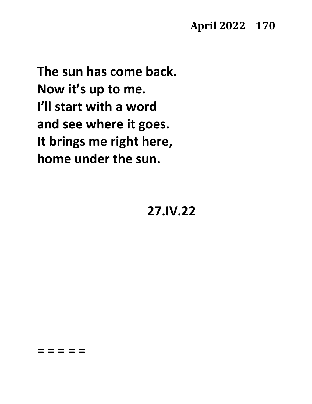**April 2022 170**

**The sun has come back. Now it's up to me. I'll start with a word and see where it goes. It brings me right here, home under the sun.**

**27.IV.22**

**= = = = =**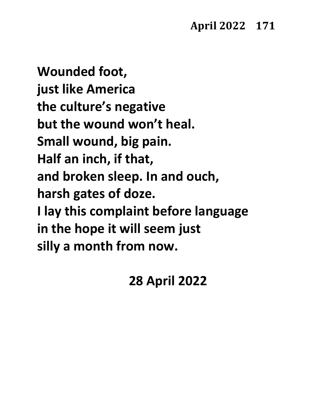**Wounded foot, just like America the culture's negative but the wound won't heal. Small wound, big pain. Half an inch, if that, and broken sleep. In and ouch, harsh gates of doze. I lay this complaint before language in the hope it will seem just silly a month from now.**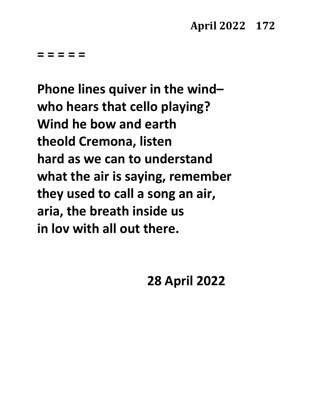**= = = = =**

**Phone lines quiver in the wind– who hears that cello playing? Wind he bow and earth theold Cremona, listen hard as we can to understand what the air is saying, remember they used to call a song an air, aria, the breath inside us in lov with all out there.**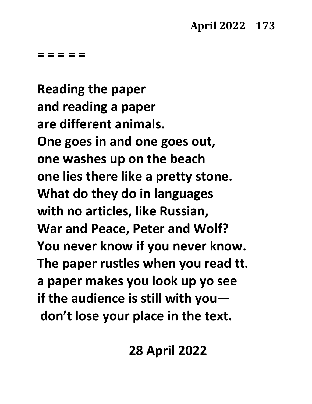**= = = = =**

**Reading the paper and reading a paper are different animals. One goes in and one goes out, one washes up on the beach one lies there like a pretty stone. What do they do in languages with no articles, like Russian, War and Peace, Peter and Wolf? You never know if you never know. The paper rustles when you read tt. a paper makes you look up yo see if the audience is still with you don't lose your place in the text.**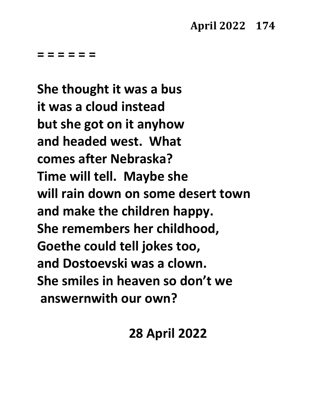**= = = = = =**

**She thought it was a bus it was a cloud instead but she got on it anyhow and headed west. What comes after Nebraska? Time will tell. Maybe she will rain down on some desert town and make the children happy. She remembers her childhood, Goethe could tell jokes too, and Dostoevski was a clown. She smiles in heaven so don't we answernwith our own?**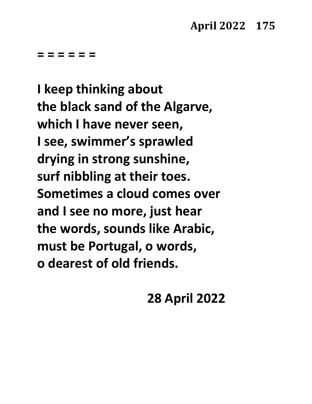**= = = = = =**

**I keep thinking about the black sand of the Algarve, which I have never seen, I see, swimmer's sprawled drying in strong sunshine, surf nibbling at their toes. Sometimes a cloud comes over and I see no more, just hear the words, sounds like Arabic, must be Portugal, o words, o dearest of old friends.**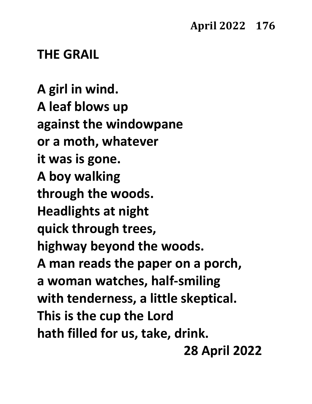#### **THE GRAIL**

**A girl in wind. A leaf blows up against the windowpane or a moth, whatever it was is gone. A boy walking through the woods. Headlights at night quick through trees, highway beyond the woods. A man reads the paper on a porch, a woman watches, half-smiling with tenderness, a little skeptical. This is the cup the Lord hath filled for us, take, drink. 28 April 2022**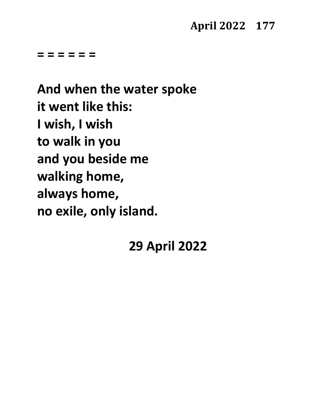#### **April 2022 177**

**= = = = = =**

**And when the water spoke it went like this: I wish, I wish to walk in you and you beside me walking home, always home, no exile, only island.**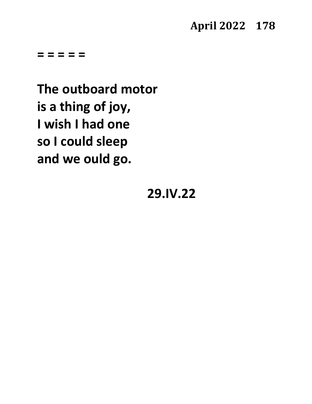**April 2022 178**

**= = = = =**

**The outboard motor is a thing of joy, I wish I had one so I could sleep and we ould go.**

#### **29.IV.22**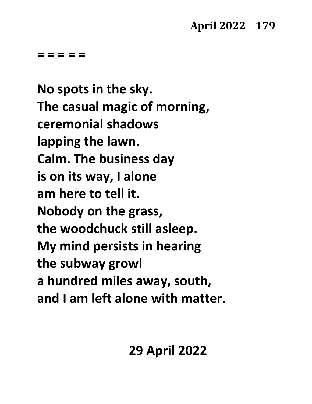**= = = = =**

**No spots in the sky. The casual magic of morning, ceremonial shadows lapping the lawn. Calm. The business day is on its way, I alone am here to tell it. Nobody on the grass, the woodchuck still asleep. My mind persists in hearing the subway growl a hundred miles away, south, and I am left alone with matter.**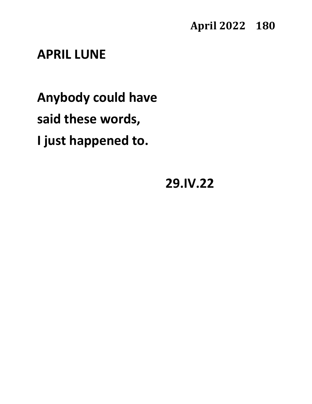**April 2022 180**

## **APRIL LUNE**

**Anybody could have said these words, I just happened to.**

**29.IV.22**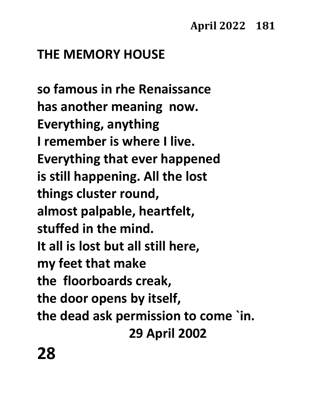# **THE MEMORY HOUSE**

**so famous in rhe Renaissance has another meaning now. Everything, anything I remember is where I live. Everything that ever happened is still happening. All the lost things cluster round, almost palpable, heartfelt, stuffed in the mind. It all is lost but all still here, my feet that make the floorboards creak, the door opens by itself, the dead ask permission to come `in. 29 April 2002**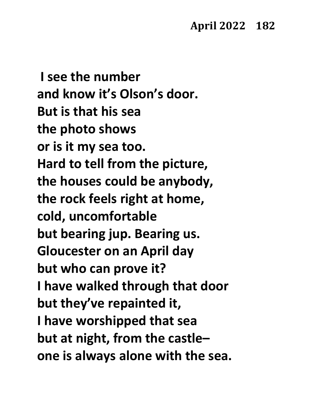**I see the number and know it's Olson's door. But is that his sea the photo shows or is it my sea too. Hard to tell from the picture, the houses could be anybody, the rock feels right at home, cold, uncomfortable but bearing jup. Bearing us. Gloucester on an April day but who can prove it? I have walked through that door but they've repainted it, I have worshipped that sea but at night, from the castle– one is always alone with the sea.**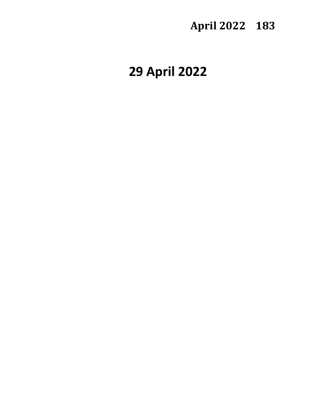## **April 2022 183**

# **29 April 2022**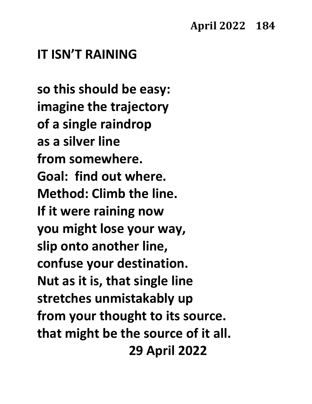#### **IT ISN'T RAINING**

**so this should be easy: imagine the trajectory of a single raindrop as a silver line from somewhere. Goal: find out where. Method: Climb the line. If it were raining now you might lose your way, slip onto another line, confuse your destination. Nut as it is, that single line stretches unmistakably up from your thought to its source. that might be the source of it all. 29 April 2022**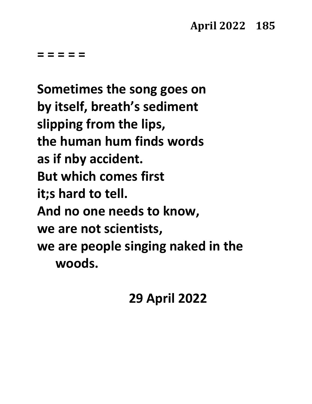**= = = = =**

**Sometimes the song goes on by itself, breath's sediment slipping from the lips, the human hum finds words as if nby accident. But which comes first it;s hard to tell. And no one needs to know, we are not scientists, we are people singing naked in the woods.**

## **29 April 2022**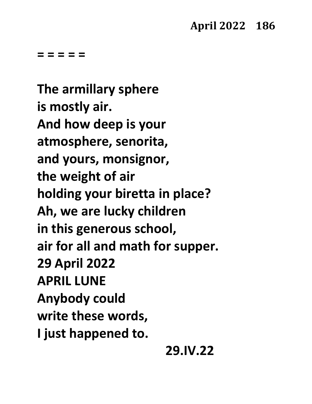**= = = = =**

**The armillary sphere is mostly air. And how deep is your atmosphere, senorita, and yours, monsignor, the weight of air holding your biretta in place? Ah, we are lucky children in this generous school, air for all and math for supper. 29 April 2022 APRIL LUNE Anybody could write these words, I just happened to.**

## **29.IV.22**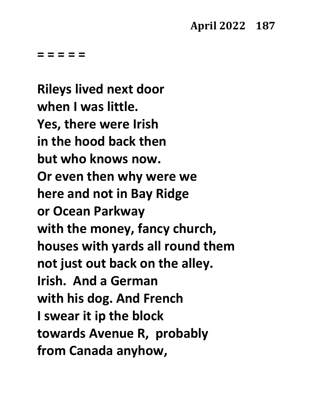**= = = = =** 

**Rileys lived next door when I was little. Yes, there were Irish in the hood back then but who knows now. Or even then why were we here and not in Bay Ridge or Ocean Parkway with the money, fancy church, houses with yards all round them not just out back on the alley. Irish. And a German with his dog. And French I swear it ip the block towards Avenue R, probably from Canada anyhow,**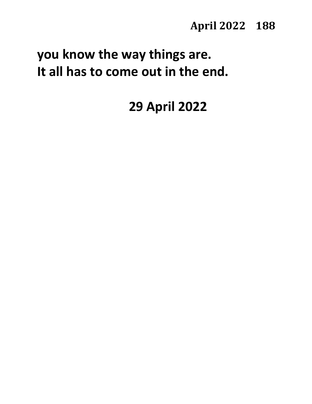# **you know the way things are. It all has to come out in the end.**

# **29 April 2022**